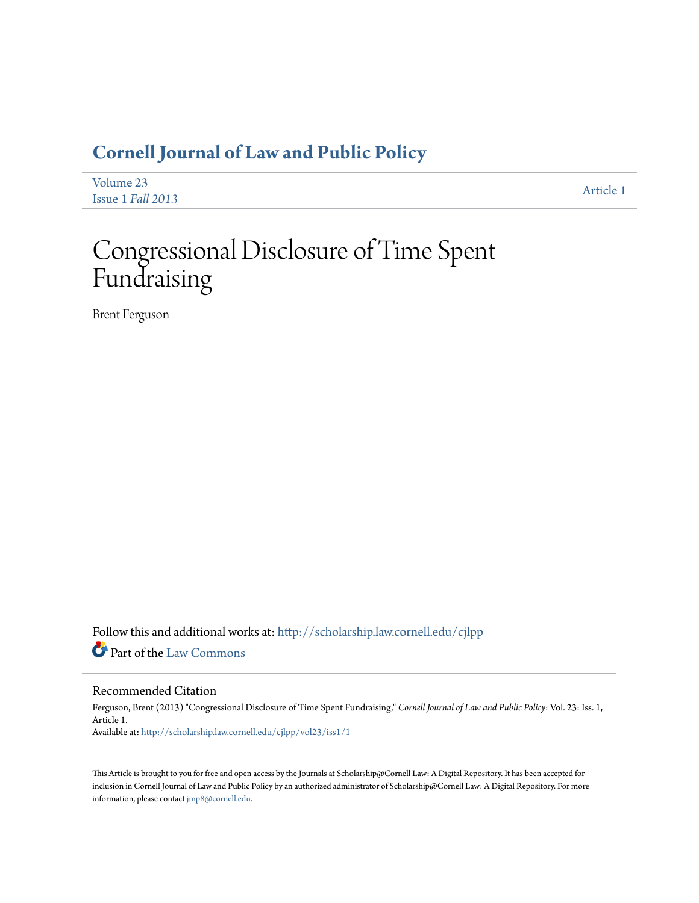## **[Cornell Journal of Law and Public Policy](http://scholarship.law.cornell.edu/cjlpp?utm_source=scholarship.law.cornell.edu%2Fcjlpp%2Fvol23%2Fiss1%2F1&utm_medium=PDF&utm_campaign=PDFCoverPages)**

| Volume 23         | Article 1 |
|-------------------|-----------|
| Issue 1 Fall 2013 |           |

# Congressional Disclosure of Time Spent Fundraising

Brent Ferguson

Follow this and additional works at: [http://scholarship.law.cornell.edu/cjlpp](http://scholarship.law.cornell.edu/cjlpp?utm_source=scholarship.law.cornell.edu%2Fcjlpp%2Fvol23%2Fiss1%2F1&utm_medium=PDF&utm_campaign=PDFCoverPages) Part of the [Law Commons](http://network.bepress.com/hgg/discipline/578?utm_source=scholarship.law.cornell.edu%2Fcjlpp%2Fvol23%2Fiss1%2F1&utm_medium=PDF&utm_campaign=PDFCoverPages)

#### Recommended Citation

Ferguson, Brent (2013) "Congressional Disclosure of Time Spent Fundraising," *Cornell Journal of Law and Public Policy*: Vol. 23: Iss. 1, Article 1. Available at: [http://scholarship.law.cornell.edu/cjlpp/vol23/iss1/1](http://scholarship.law.cornell.edu/cjlpp/vol23/iss1/1?utm_source=scholarship.law.cornell.edu%2Fcjlpp%2Fvol23%2Fiss1%2F1&utm_medium=PDF&utm_campaign=PDFCoverPages)

This Article is brought to you for free and open access by the Journals at Scholarship@Cornell Law: A Digital Repository. It has been accepted for inclusion in Cornell Journal of Law and Public Policy by an authorized administrator of Scholarship@Cornell Law: A Digital Repository. For more information, please contact [jmp8@cornell.edu.](mailto:jmp8@cornell.edu)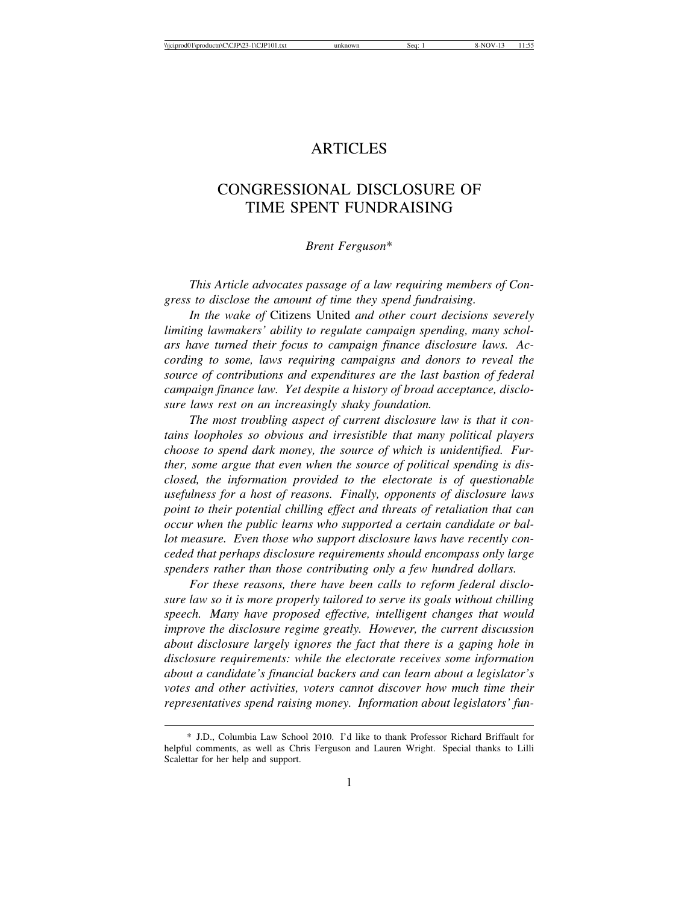### **ARTICLES**

## CONGRESSIONAL DISCLOSURE OF TIME SPENT FUNDRAISING

#### *Brent Ferguson*\*

*This Article advocates passage of a law requiring members of Congress to disclose the amount of time they spend fundraising.*

*In the wake of* Citizens United *and other court decisions severely limiting lawmakers' ability to regulate campaign spending, many scholars have turned their focus to campaign finance disclosure laws. According to some, laws requiring campaigns and donors to reveal the source of contributions and expenditures are the last bastion of federal campaign finance law. Yet despite a history of broad acceptance, disclosure laws rest on an increasingly shaky foundation.*

*The most troubling aspect of current disclosure law is that it contains loopholes so obvious and irresistible that many political players choose to spend dark money, the source of which is unidentified. Further, some argue that even when the source of political spending is disclosed, the information provided to the electorate is of questionable usefulness for a host of reasons. Finally, opponents of disclosure laws point to their potential chilling effect and threats of retaliation that can occur when the public learns who supported a certain candidate or ballot measure. Even those who support disclosure laws have recently conceded that perhaps disclosure requirements should encompass only large spenders rather than those contributing only a few hundred dollars.*

*For these reasons, there have been calls to reform federal disclosure law so it is more properly tailored to serve its goals without chilling speech. Many have proposed effective, intelligent changes that would improve the disclosure regime greatly. However, the current discussion about disclosure largely ignores the fact that there is a gaping hole in disclosure requirements: while the electorate receives some information about a candidate's financial backers and can learn about a legislator's votes and other activities, voters cannot discover how much time their representatives spend raising money. Information about legislators' fun-*

<sup>\*</sup> J.D., Columbia Law School 2010. I'd like to thank Professor Richard Briffault for helpful comments, as well as Chris Ferguson and Lauren Wright. Special thanks to Lilli Scalettar for her help and support.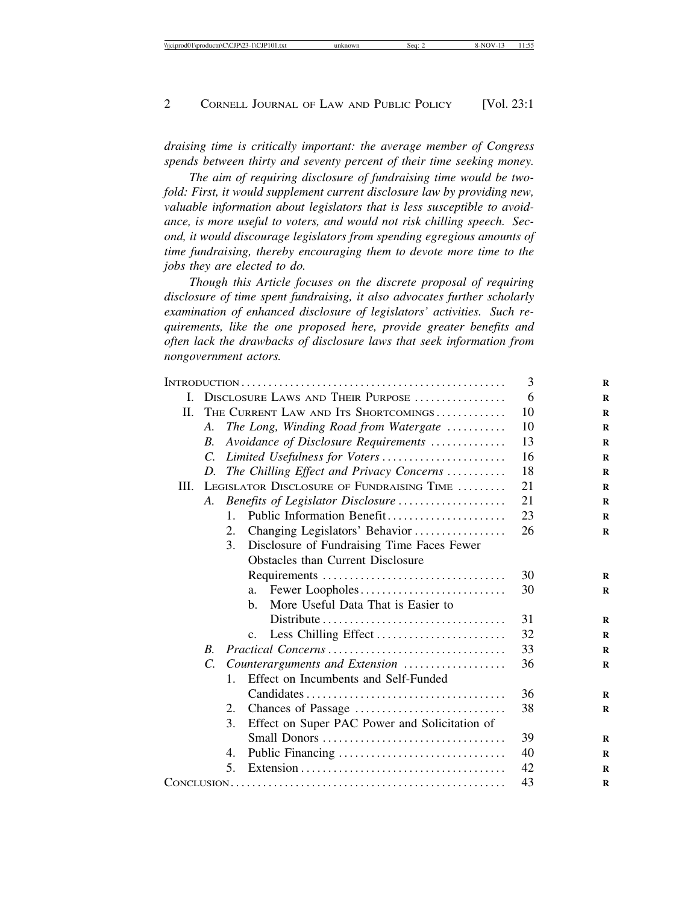*draising time is critically important: the average member of Congress spends between thirty and seventy percent of their time seeking money.*

*The aim of requiring disclosure of fundraising time would be twofold: First, it would supplement current disclosure law by providing new, valuable information about legislators that is less susceptible to avoidance, is more useful to voters, and would not risk chilling speech. Second, it would discourage legislators from spending egregious amounts of time fundraising, thereby encouraging them to devote more time to the jobs they are elected to do.*

*Though this Article focuses on the discrete proposal of requiring disclosure of time spent fundraising, it also advocates further scholarly examination of enhanced disclosure of legislators' activities. Such requirements, like the one proposed here, provide greater benefits and often lack the drawbacks of disclosure laws that seek information from nongovernment actors.*

|      |                                      |                                                     | 3  |
|------|--------------------------------------|-----------------------------------------------------|----|
| L    | DISCLOSURE LAWS AND THEIR PURPOSE    |                                                     | 6  |
| П.   | THE CURRENT LAW AND ITS SHORTCOMINGS |                                                     | 10 |
|      | A.                                   | The Long, Winding Road from Watergate               | 10 |
|      | $\boldsymbol{B}$ .                   | Avoidance of Disclosure Requirements                | 13 |
|      | $\mathcal{C}$                        | Limited Usefulness for Voters                       | 16 |
|      | D.                                   | The Chilling Effect and Privacy Concerns            | 18 |
| III. |                                      | LEGISLATOR DISCLOSURE OF FUNDRAISING TIME           | 21 |
| A.   |                                      | Benefits of Legislator Disclosure                   | 21 |
|      |                                      | Public Information Benefit<br>$\mathbf{1}$          | 23 |
|      |                                      | 2.<br>Changing Legislators' Behavior                | 26 |
|      |                                      | 3.<br>Disclosure of Fundraising Time Faces Fewer    |    |
|      |                                      | <b>Obstacles than Current Disclosure</b>            |    |
|      |                                      |                                                     | 30 |
|      |                                      | Fewer Loopholes<br>a.                               | 30 |
|      |                                      | More Useful Data That is Easier to<br>b.            |    |
|      |                                      |                                                     | 31 |
|      |                                      |                                                     | 32 |
|      | $\overline{B}$ .                     |                                                     | 33 |
|      | $\mathcal{C}$ .                      | Counterarguments and Extension                      | 36 |
|      |                                      | Effect on Incumbents and Self-Funded<br>$1_{-}$     |    |
|      |                                      |                                                     | 36 |
|      |                                      | 2.                                                  | 38 |
|      |                                      | 3.<br>Effect on Super PAC Power and Solicitation of |    |
|      |                                      |                                                     | 39 |
|      |                                      | 4.                                                  | 40 |
|      |                                      | $5_{-}$                                             | 42 |
|      |                                      | 43                                                  |    |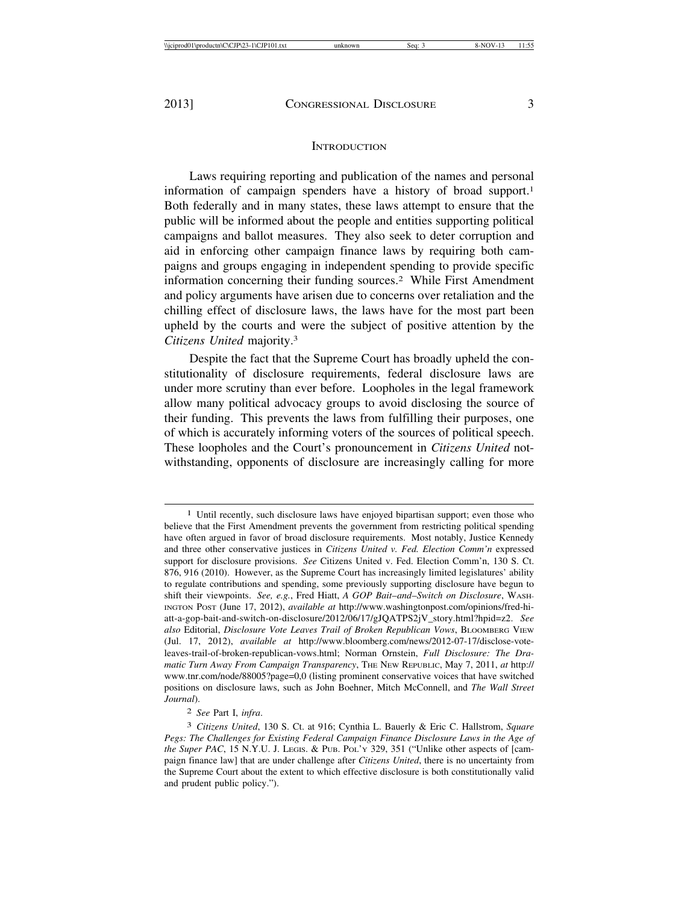#### **INTRODUCTION**

Laws requiring reporting and publication of the names and personal information of campaign spenders have a history of broad support.1 Both federally and in many states, these laws attempt to ensure that the public will be informed about the people and entities supporting political campaigns and ballot measures. They also seek to deter corruption and aid in enforcing other campaign finance laws by requiring both campaigns and groups engaging in independent spending to provide specific information concerning their funding sources.2 While First Amendment and policy arguments have arisen due to concerns over retaliation and the chilling effect of disclosure laws, the laws have for the most part been upheld by the courts and were the subject of positive attention by the *Citizens United* majority.3

Despite the fact that the Supreme Court has broadly upheld the constitutionality of disclosure requirements, federal disclosure laws are under more scrutiny than ever before. Loopholes in the legal framework allow many political advocacy groups to avoid disclosing the source of their funding. This prevents the laws from fulfilling their purposes, one of which is accurately informing voters of the sources of political speech. These loopholes and the Court's pronouncement in *Citizens United* notwithstanding, opponents of disclosure are increasingly calling for more

<sup>1</sup> Until recently, such disclosure laws have enjoyed bipartisan support; even those who believe that the First Amendment prevents the government from restricting political spending have often argued in favor of broad disclosure requirements. Most notably, Justice Kennedy and three other conservative justices in *Citizens United v. Fed. Election Comm'n* expressed support for disclosure provisions. *See* Citizens United v. Fed. Election Comm'n, 130 S. Ct. 876, 916 (2010). However, as the Supreme Court has increasingly limited legislatures' ability to regulate contributions and spending, some previously supporting disclosure have begun to shift their viewpoints. *See, e.g.*, Fred Hiatt, *A GOP Bait*–*and*–*Switch on Disclosure*, WASH-INGTON POST (June 17, 2012), *available at* http://www.washingtonpost.com/opinions/fred-hiatt-a-gop-bait-and-switch-on-disclosure/2012/06/17/gJQATPS2jV\_story.html?hpid=z2. *See also* Editorial, *Disclosure Vote Leaves Trail of Broken Republican Vows*, BLOOMBERG VIEW (Jul. 17, 2012), *available at* http://www.bloomberg.com/news/2012-07-17/disclose-voteleaves-trail-of-broken-republican-vows.html; Norman Ornstein, *Full Disclosure: The Dramatic Turn Away From Campaign Transparency*, THE NEW REPUBLIC, May 7, 2011, *at* http:// www.tnr.com/node/88005?page=0,0 (listing prominent conservative voices that have switched positions on disclosure laws, such as John Boehner, Mitch McConnell, and *The Wall Street Journal*).

<sup>2</sup> *See* Part I, *infra*.

<sup>3</sup> *Citizens United*, 130 S. Ct. at 916; Cynthia L. Bauerly & Eric C. Hallstrom, *Square Pegs: The Challenges for Existing Federal Campaign Finance Disclosure Laws in the Age of the Super PAC*, 15 N.Y.U. J. LEGIS. & PUB. POL'Y 329, 351 ("Unlike other aspects of [campaign finance law] that are under challenge after *Citizens United*, there is no uncertainty from the Supreme Court about the extent to which effective disclosure is both constitutionally valid and prudent public policy.").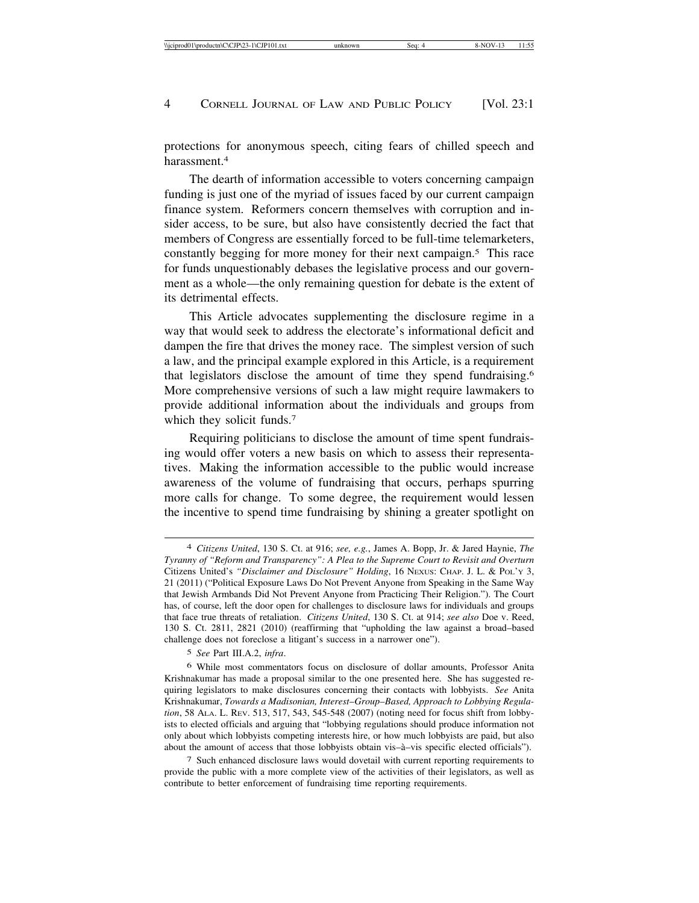protections for anonymous speech, citing fears of chilled speech and harassment<sup>4</sup>

The dearth of information accessible to voters concerning campaign funding is just one of the myriad of issues faced by our current campaign finance system. Reformers concern themselves with corruption and insider access, to be sure, but also have consistently decried the fact that members of Congress are essentially forced to be full-time telemarketers, constantly begging for more money for their next campaign.5 This race for funds unquestionably debases the legislative process and our government as a whole—the only remaining question for debate is the extent of its detrimental effects.

This Article advocates supplementing the disclosure regime in a way that would seek to address the electorate's informational deficit and dampen the fire that drives the money race. The simplest version of such a law, and the principal example explored in this Article, is a requirement that legislators disclose the amount of time they spend fundraising.6 More comprehensive versions of such a law might require lawmakers to provide additional information about the individuals and groups from which they solicit funds.<sup>7</sup>

Requiring politicians to disclose the amount of time spent fundraising would offer voters a new basis on which to assess their representatives. Making the information accessible to the public would increase awareness of the volume of fundraising that occurs, perhaps spurring more calls for change. To some degree, the requirement would lessen the incentive to spend time fundraising by shining a greater spotlight on

5 *See* Part III.A.2, *infra*.

<sup>4</sup> *Citizens United*, 130 S. Ct. at 916; *see, e.g.*, James A. Bopp, Jr. & Jared Haynie, *The Tyranny of "Reform and Transparency": A Plea to the Supreme Court to Revisit and Overturn* Citizens United's *"Disclaimer and Disclosure" Holding*, 16 NEXUS: CHAP. J. L. & POL'Y 3, 21 (2011) ("Political Exposure Laws Do Not Prevent Anyone from Speaking in the Same Way that Jewish Armbands Did Not Prevent Anyone from Practicing Their Religion."). The Court has, of course, left the door open for challenges to disclosure laws for individuals and groups that face true threats of retaliation. *Citizens United*, 130 S. Ct. at 914; *see also* Doe v. Reed, 130 S. Ct. 2811, 2821 (2010) (reaffirming that "upholding the law against a broad–based challenge does not foreclose a litigant's success in a narrower one").

<sup>6</sup> While most commentators focus on disclosure of dollar amounts, Professor Anita Krishnakumar has made a proposal similar to the one presented here. She has suggested requiring legislators to make disclosures concerning their contacts with lobbyists. *See* Anita Krishnakumar, *Towards a Madisonian, Interest*–*Group–Based, Approach to Lobbying Regulation*, 58 ALA. L. REV. 513, 517, 543, 545-548 (2007) (noting need for focus shift from lobbyists to elected officials and arguing that "lobbying regulations should produce information not only about which lobbyists competing interests hire, or how much lobbyists are paid, but also about the amount of access that those lobbyists obtain vis– $\grave{a}$ –vis specific elected officials").

<sup>7</sup> Such enhanced disclosure laws would dovetail with current reporting requirements to provide the public with a more complete view of the activities of their legislators, as well as contribute to better enforcement of fundraising time reporting requirements.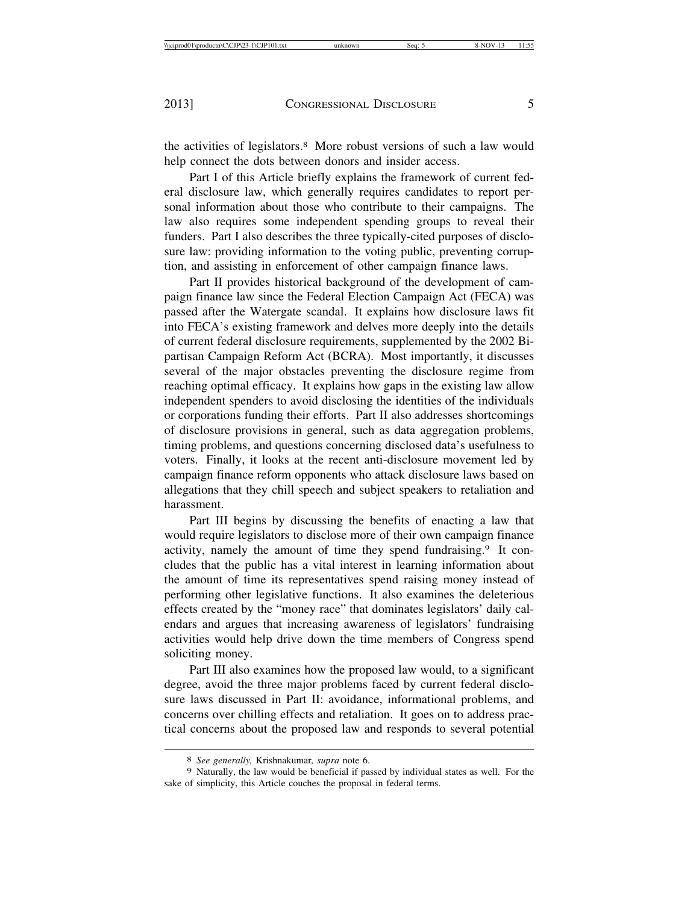the activities of legislators.8 More robust versions of such a law would help connect the dots between donors and insider access.

Part I of this Article briefly explains the framework of current federal disclosure law, which generally requires candidates to report personal information about those who contribute to their campaigns. The law also requires some independent spending groups to reveal their funders. Part I also describes the three typically-cited purposes of disclosure law: providing information to the voting public, preventing corruption, and assisting in enforcement of other campaign finance laws.

Part II provides historical background of the development of campaign finance law since the Federal Election Campaign Act (FECA) was passed after the Watergate scandal. It explains how disclosure laws fit into FECA's existing framework and delves more deeply into the details of current federal disclosure requirements, supplemented by the 2002 Bipartisan Campaign Reform Act (BCRA). Most importantly, it discusses several of the major obstacles preventing the disclosure regime from reaching optimal efficacy. It explains how gaps in the existing law allow independent spenders to avoid disclosing the identities of the individuals or corporations funding their efforts. Part II also addresses shortcomings of disclosure provisions in general, such as data aggregation problems, timing problems, and questions concerning disclosed data's usefulness to voters. Finally, it looks at the recent anti-disclosure movement led by campaign finance reform opponents who attack disclosure laws based on allegations that they chill speech and subject speakers to retaliation and harassment.

Part III begins by discussing the benefits of enacting a law that would require legislators to disclose more of their own campaign finance activity, namely the amount of time they spend fundraising.9 It concludes that the public has a vital interest in learning information about the amount of time its representatives spend raising money instead of performing other legislative functions. It also examines the deleterious effects created by the "money race" that dominates legislators' daily calendars and argues that increasing awareness of legislators' fundraising activities would help drive down the time members of Congress spend soliciting money.

Part III also examines how the proposed law would, to a significant degree, avoid the three major problems faced by current federal disclosure laws discussed in Part II: avoidance, informational problems, and concerns over chilling effects and retaliation. It goes on to address practical concerns about the proposed law and responds to several potential

<sup>8</sup> *See generally,* Krishnakumar*, supra* note 6.

<sup>9</sup> Naturally, the law would be beneficial if passed by individual states as well. For the sake of simplicity, this Article couches the proposal in federal terms.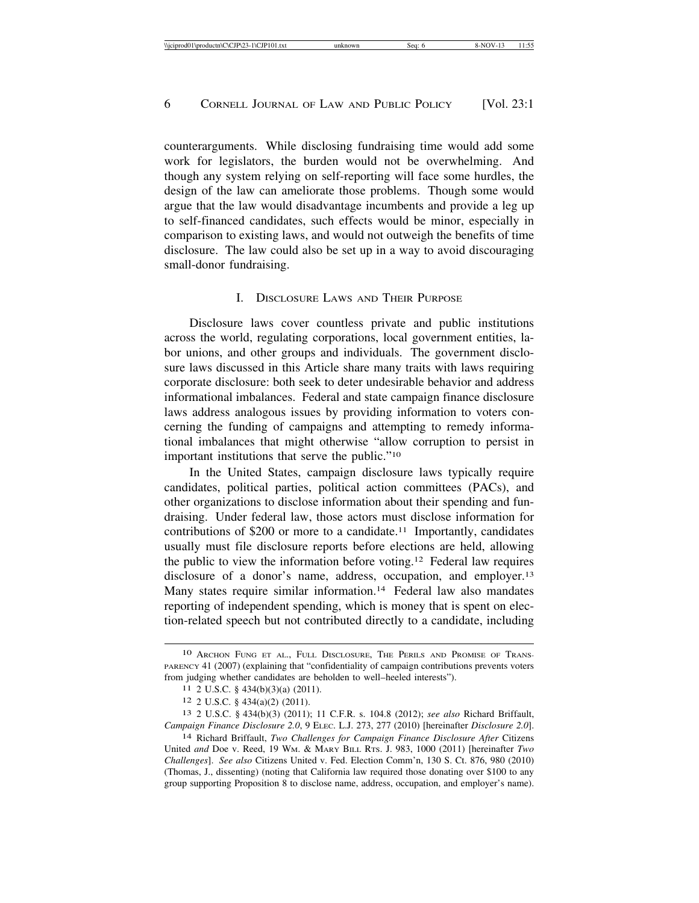counterarguments. While disclosing fundraising time would add some work for legislators, the burden would not be overwhelming. And though any system relying on self-reporting will face some hurdles, the design of the law can ameliorate those problems. Though some would argue that the law would disadvantage incumbents and provide a leg up to self-financed candidates, such effects would be minor, especially in comparison to existing laws, and would not outweigh the benefits of time disclosure. The law could also be set up in a way to avoid discouraging small-donor fundraising.

#### I. DISCLOSURE LAWS AND THEIR PURPOSE

Disclosure laws cover countless private and public institutions across the world, regulating corporations, local government entities, labor unions, and other groups and individuals. The government disclosure laws discussed in this Article share many traits with laws requiring corporate disclosure: both seek to deter undesirable behavior and address informational imbalances. Federal and state campaign finance disclosure laws address analogous issues by providing information to voters concerning the funding of campaigns and attempting to remedy informational imbalances that might otherwise "allow corruption to persist in important institutions that serve the public."10

In the United States, campaign disclosure laws typically require candidates, political parties, political action committees (PACs), and other organizations to disclose information about their spending and fundraising. Under federal law, those actors must disclose information for contributions of \$200 or more to a candidate.11 Importantly, candidates usually must file disclosure reports before elections are held, allowing the public to view the information before voting.12 Federal law requires disclosure of a donor's name, address, occupation, and employer.<sup>13</sup> Many states require similar information.<sup>14</sup> Federal law also mandates reporting of independent spending, which is money that is spent on election-related speech but not contributed directly to a candidate, including

<sup>10</sup> ARCHON FUNG ET AL., FULL DISCLOSURE, THE PERILS AND PROMISE OF TRANS-PARENCY 41 (2007) (explaining that "confidentiality of campaign contributions prevents voters from judging whether candidates are beholden to well–heeled interests").

<sup>11</sup> 2 U.S.C. § 434(b)(3)(a) (2011).

<sup>12</sup> 2 U.S.C. § 434(a)(2) (2011).

<sup>13</sup> 2 U.S.C. § 434(b)(3) (2011); 11 C.F.R. s. 104.8 (2012); *see also* Richard Briffault, *Campaign Finance Disclosure 2.0*, 9 ELEC. L.J. 273, 277 (2010) [hereinafter *Disclosure 2.0*].

<sup>14</sup> Richard Briffault, *Two Challenges for Campaign Finance Disclosure After* Citizens United *and* Doe v. Reed, 19 WM. & MARY BILL RTS. J. 983, 1000 (2011) [hereinafter *Two Challenges*]. *See also* Citizens United v. Fed. Election Comm'n, 130 S. Ct. 876, 980 (2010) (Thomas, J., dissenting) (noting that California law required those donating over \$100 to any group supporting Proposition 8 to disclose name, address, occupation, and employer's name).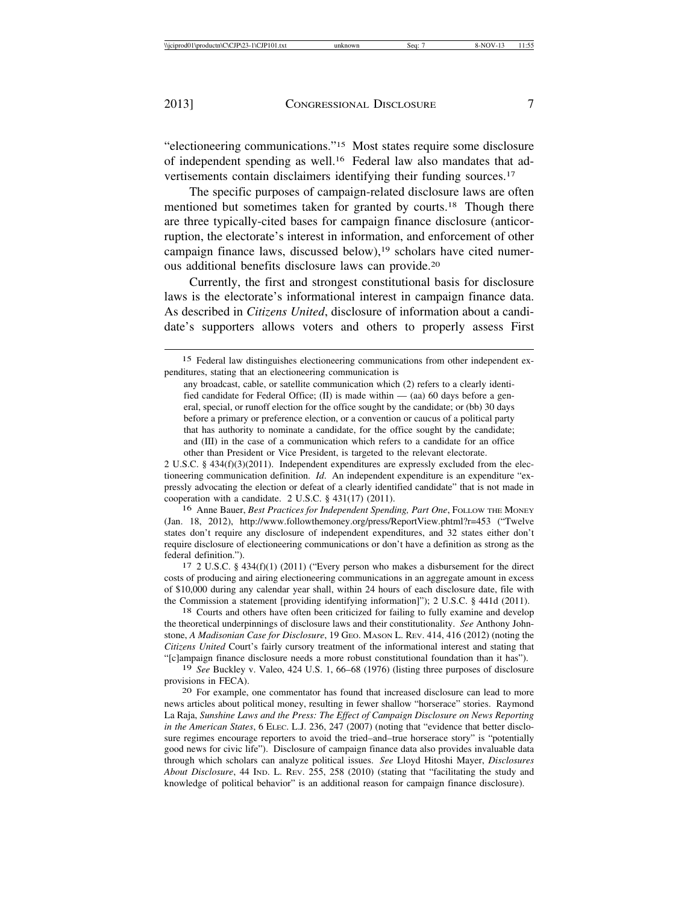"electioneering communications."15 Most states require some disclosure of independent spending as well.16 Federal law also mandates that advertisements contain disclaimers identifying their funding sources.17

The specific purposes of campaign-related disclosure laws are often mentioned but sometimes taken for granted by courts.18 Though there are three typically-cited bases for campaign finance disclosure (anticorruption, the electorate's interest in information, and enforcement of other campaign finance laws, discussed below),<sup>19</sup> scholars have cited numerous additional benefits disclosure laws can provide.20

Currently, the first and strongest constitutional basis for disclosure laws is the electorate's informational interest in campaign finance data. As described in *Citizens United*, disclosure of information about a candidate's supporters allows voters and others to properly assess First

2 U.S.C. § 434(f)(3)(2011). Independent expenditures are expressly excluded from the electioneering communication definition. *Id*. An independent expenditure is an expenditure "expressly advocating the election or defeat of a clearly identified candidate" that is not made in cooperation with a candidate. 2 U.S.C. § 431(17) (2011).

16 Anne Bauer, *Best Practices for Independent Spending, Part One*, FOLLOW THE MONEY (Jan. 18, 2012), http://www.followthemoney.org/press/ReportView.phtml?r=453 ("Twelve states don't require any disclosure of independent expenditures, and 32 states either don't require disclosure of electioneering communications or don't have a definition as strong as the federal definition.").<br>17 2 U.S.C. § 434(f)(1) (2011) ("Every person who makes a disbursement for the direct

costs of producing and airing electioneering communications in an aggregate amount in excess of \$10,000 during any calendar year shall, within 24 hours of each disclosure date, file with the Commission a statement [providing identifying information]"); 2 U.S.C. § 441d (2011).<br><sup>18</sup> Courts and others have often been criticized for failing to fully examine and develop

the theoretical underpinnings of disclosure laws and their constitutionality. *See* Anthony Johnstone, *A Madisonian Case for Disclosure*, 19 GEO. MASON L. REV. 414, 416 (2012) (noting the *Citizens United* Court's fairly cursory treatment of the informational interest and stating that "[c]ampaign finance disclosure needs a more robust constitutional foundation than it has").

19 *See* Buckley v. Valeo, 424 U.S. 1, 66–68 (1976) (listing three purposes of disclosure provisions in FECA). <sup>20</sup> For example, one commentator has found that increased disclosure can lead to more

news articles about political money, resulting in fewer shallow "horserace" stories. Raymond La Raja, *Sunshine Laws and the Press: The Effect of Campaign Disclosure on News Reporting in the American States*, 6 ELEC. L.J. 236, 247 (2007) (noting that "evidence that better disclosure regimes encourage reporters to avoid the tried–and–true horserace story" is "potentially good news for civic life"). Disclosure of campaign finance data also provides invaluable data through which scholars can analyze political issues. *See* Lloyd Hitoshi Mayer, *Disclosures About Disclosure*, 44 IND. L. REV. 255, 258 (2010) (stating that "facilitating the study and knowledge of political behavior" is an additional reason for campaign finance disclosure).

<sup>15</sup> Federal law distinguishes electioneering communications from other independent expenditures, stating that an electioneering communication is

any broadcast, cable, or satellite communication which (2) refers to a clearly identified candidate for Federal Office; (II) is made within  $-$  (aa) 60 days before a general, special, or runoff election for the office sought by the candidate; or (bb) 30 days before a primary or preference election, or a convention or caucus of a political party that has authority to nominate a candidate, for the office sought by the candidate; and (III) in the case of a communication which refers to a candidate for an office other than President or Vice President, is targeted to the relevant electorate.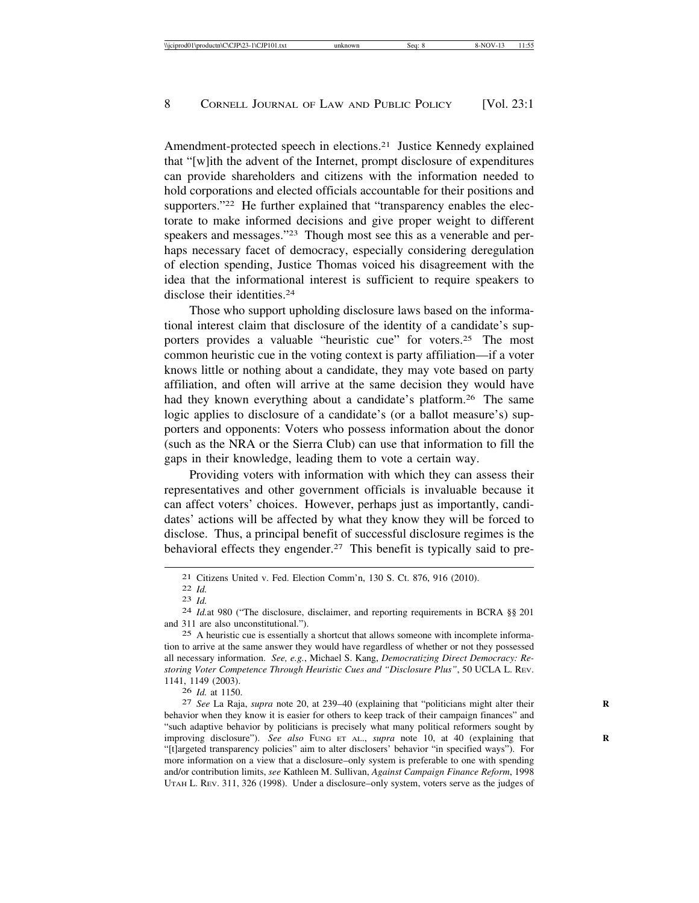Amendment-protected speech in elections.21 Justice Kennedy explained that "[w]ith the advent of the Internet, prompt disclosure of expenditures can provide shareholders and citizens with the information needed to hold corporations and elected officials accountable for their positions and supporters."<sup>22</sup> He further explained that "transparency enables the electorate to make informed decisions and give proper weight to different speakers and messages."23 Though most see this as a venerable and perhaps necessary facet of democracy, especially considering deregulation of election spending, Justice Thomas voiced his disagreement with the idea that the informational interest is sufficient to require speakers to disclose their identities<sup>24</sup>

Those who support upholding disclosure laws based on the informational interest claim that disclosure of the identity of a candidate's supporters provides a valuable "heuristic cue" for voters.25 The most common heuristic cue in the voting context is party affiliation—if a voter knows little or nothing about a candidate, they may vote based on party affiliation, and often will arrive at the same decision they would have had they known everything about a candidate's platform.<sup>26</sup> The same logic applies to disclosure of a candidate's (or a ballot measure's) supporters and opponents: Voters who possess information about the donor (such as the NRA or the Sierra Club) can use that information to fill the gaps in their knowledge, leading them to vote a certain way.

Providing voters with information with which they can assess their representatives and other government officials is invaluable because it can affect voters' choices. However, perhaps just as importantly, candidates' actions will be affected by what they know they will be forced to disclose. Thus, a principal benefit of successful disclosure regimes is the behavioral effects they engender.<sup>27</sup> This benefit is typically said to pre-

25 A heuristic cue is essentially a shortcut that allows someone with incomplete information to arrive at the same answer they would have regardless of whether or not they possessed all necessary information. *See, e.g.*, Michael S. Kang, *Democratizing Direct Democracy: Restoring Voter Competence Through Heuristic Cues and "Disclosure Plus"*, 50 UCLA L. REV. 1141, 1149 (2003).

<sup>26</sup> *Id.* at 1150. <sup>27</sup> *See* La Raja, *supra* note 20, at 239–40 (explaining that "politicians might alter their **<sup>R</sup>** behavior when they know it is easier for others to keep track of their campaign finances" and "such adaptive behavior by politicians is precisely what many political reformers sought by improving disclosure"). See also FUNG ET AL., *supra* note 10, at 40 (explaining that "[t]argeted transparency policies" aim to alter disclosers' behavior "in specified ways"). For more information on a view that a disclosure–only system is preferable to one with spending and/or contribution limits, *see* Kathleen M. Sullivan, *Against Campaign Finance Reform*, 1998 UTAH L. REV. 311, 326 (1998). Under a disclosure–only system, voters serve as the judges of

<sup>21</sup> Citizens United v. Fed. Election Comm'n, 130 S. Ct. 876, 916 (2010).<br>
22 *Id.*<br>
24 *Id.* 24 *Id.*at 980 ("The disclosure, disclaimer, and reporting requirements in BCRA §§ 201 and 311 are also unconstitutional.").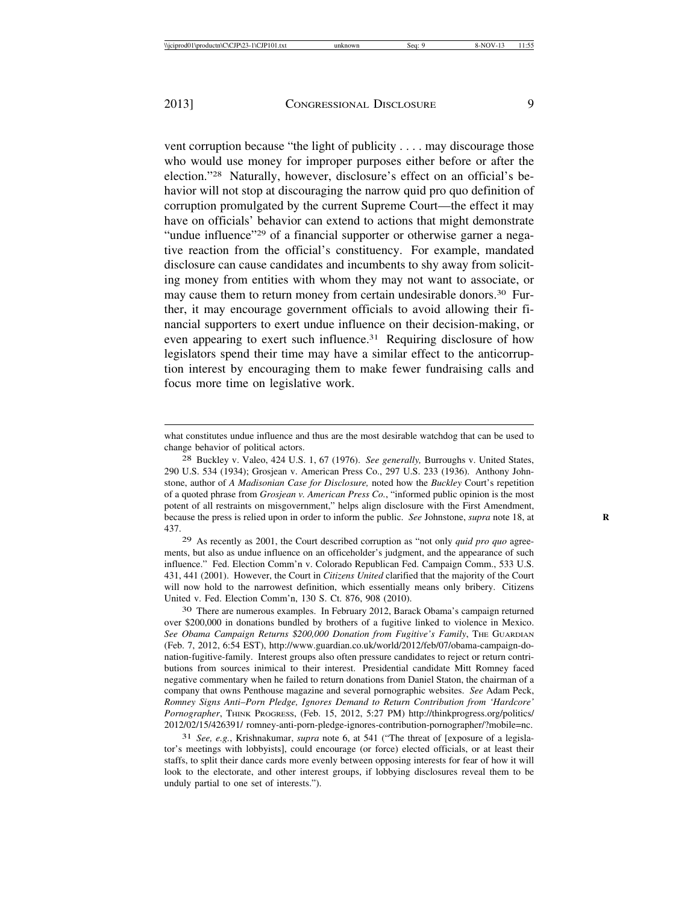vent corruption because "the light of publicity . . . . may discourage those who would use money for improper purposes either before or after the election."28 Naturally, however, disclosure's effect on an official's behavior will not stop at discouraging the narrow quid pro quo definition of corruption promulgated by the current Supreme Court—the effect it may have on officials' behavior can extend to actions that might demonstrate "undue influence"29 of a financial supporter or otherwise garner a negative reaction from the official's constituency. For example, mandated disclosure can cause candidates and incumbents to shy away from soliciting money from entities with whom they may not want to associate, or may cause them to return money from certain undesirable donors.<sup>30</sup> Further, it may encourage government officials to avoid allowing their financial supporters to exert undue influence on their decision-making, or even appearing to exert such influence.<sup>31</sup> Requiring disclosure of how legislators spend their time may have a similar effect to the anticorruption interest by encouraging them to make fewer fundraising calls and focus more time on legislative work.

29 As recently as 2001, the Court described corruption as "not only *quid pro quo* agreements, but also as undue influence on an officeholder's judgment, and the appearance of such influence." Fed. Election Comm'n v. Colorado Republican Fed. Campaign Comm., 533 U.S. 431, 441 (2001). However, the Court in *Citizens United* clarified that the majority of the Court will now hold to the narrowest definition, which essentially means only bribery. Citizens United v. Fed. Election Comm'n, 130 S. Ct. 876, 908 (2010).

30 There are numerous examples. In February 2012, Barack Obama's campaign returned over \$200,000 in donations bundled by brothers of a fugitive linked to violence in Mexico. *See Obama Campaign Returns \$200,000 Donation from Fugitive's Family*, THE GUARDIAN (Feb. 7, 2012, 6:54 EST), http://www.guardian.co.uk/world/2012/feb/07/obama-campaign-donation-fugitive-family. Interest groups also often pressure candidates to reject or return contributions from sources inimical to their interest. Presidential candidate Mitt Romney faced negative commentary when he failed to return donations from Daniel Staton, the chairman of a company that owns Penthouse magazine and several pornographic websites. *See* Adam Peck, *Romney Signs Anti*–*Porn Pledge, Ignores Demand to Return Contribution from 'Hardcore'* Pornographer, THINK PROGRESS, (Feb. 15, 2012, 5:27 PM) http://thinkprogress.org/politics/ 2012/02/15/426391/ romney-anti-porn-pledge-ignores-contribution-pornographer/?mobile=nc.

31 *See, e.g.*, Krishnakumar, *supra* note 6, at 541 ("The threat of [exposure of a legislator's meetings with lobbyists], could encourage (or force) elected officials, or at least their staffs, to split their dance cards more evenly between opposing interests for fear of how it will look to the electorate, and other interest groups, if lobbying disclosures reveal them to be unduly partial to one set of interests.").

what constitutes undue influence and thus are the most desirable watchdog that can be used to change behavior of political actors.

<sup>28</sup> Buckley v. Valeo, 424 U.S. 1, 67 (1976). *See generally,* Burroughs v. United States, 290 U.S. 534 (1934); Grosjean v. American Press Co., 297 U.S. 233 (1936). Anthony Johnstone, author of *A Madisonian Case for Disclosure,* noted how the *Buckley* Court's repetition of a quoted phrase from *Grosjean v. American Press Co.*, "informed public opinion is the most potent of all restraints on misgovernment," helps align disclosure with the First Amendment, because the press is relied upon in order to inform the public. *See* Johnstone, *supra* note 18, at **R** 437.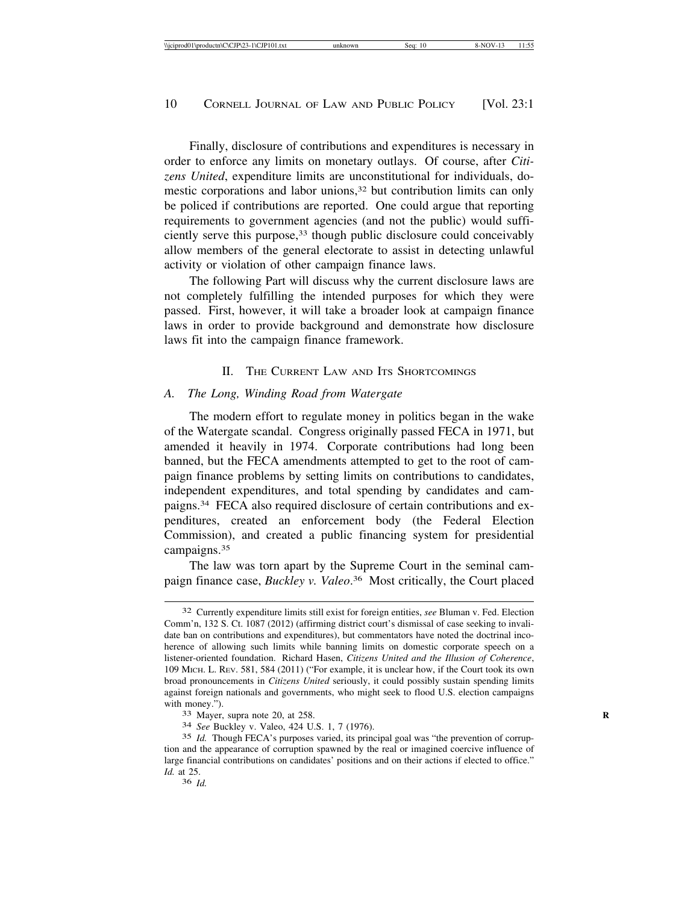Finally, disclosure of contributions and expenditures is necessary in order to enforce any limits on monetary outlays. Of course, after *Citizens United*, expenditure limits are unconstitutional for individuals, domestic corporations and labor unions,<sup>32</sup> but contribution limits can only be policed if contributions are reported. One could argue that reporting requirements to government agencies (and not the public) would sufficiently serve this purpose,33 though public disclosure could conceivably allow members of the general electorate to assist in detecting unlawful activity or violation of other campaign finance laws.

The following Part will discuss why the current disclosure laws are not completely fulfilling the intended purposes for which they were passed. First, however, it will take a broader look at campaign finance laws in order to provide background and demonstrate how disclosure laws fit into the campaign finance framework.

#### II. THE CURRENT LAW AND ITS SHORTCOMINGS

#### *A. The Long, Winding Road from Watergate*

The modern effort to regulate money in politics began in the wake of the Watergate scandal. Congress originally passed FECA in 1971, but amended it heavily in 1974. Corporate contributions had long been banned, but the FECA amendments attempted to get to the root of campaign finance problems by setting limits on contributions to candidates, independent expenditures, and total spending by candidates and campaigns.34 FECA also required disclosure of certain contributions and expenditures, created an enforcement body (the Federal Election Commission), and created a public financing system for presidential campaigns.35

The law was torn apart by the Supreme Court in the seminal campaign finance case, *Buckley v. Valeo*. 36 Most critically, the Court placed

<sup>32</sup> Currently expenditure limits still exist for foreign entities, *see* Bluman v. Fed. Election Comm'n, 132 S. Ct. 1087 (2012) (affirming district court's dismissal of case seeking to invalidate ban on contributions and expenditures), but commentators have noted the doctrinal incoherence of allowing such limits while banning limits on domestic corporate speech on a listener-oriented foundation. Richard Hasen, *Citizens United and the Illusion of Coherence*, 109 MICH. L. REV. 581, 584 (2011) ("For example, it is unclear how, if the Court took its own broad pronouncements in *Citizens United* seriously, it could possibly sustain spending limits against foreign nationals and governments, who might seek to flood U.S. election campaigns with money.").<br><sup>33</sup> Mayer, supra note 20, at 258.

<sup>34</sup> *See* Buckley v. Valeo, 424 U.S. 1, 7 (1976).

<sup>35</sup> *Id.* Though FECA's purposes varied, its principal goal was "the prevention of corruption and the appearance of corruption spawned by the real or imagined coercive influence of large financial contributions on candidates' positions and on their actions if elected to office." *Id.* at 25.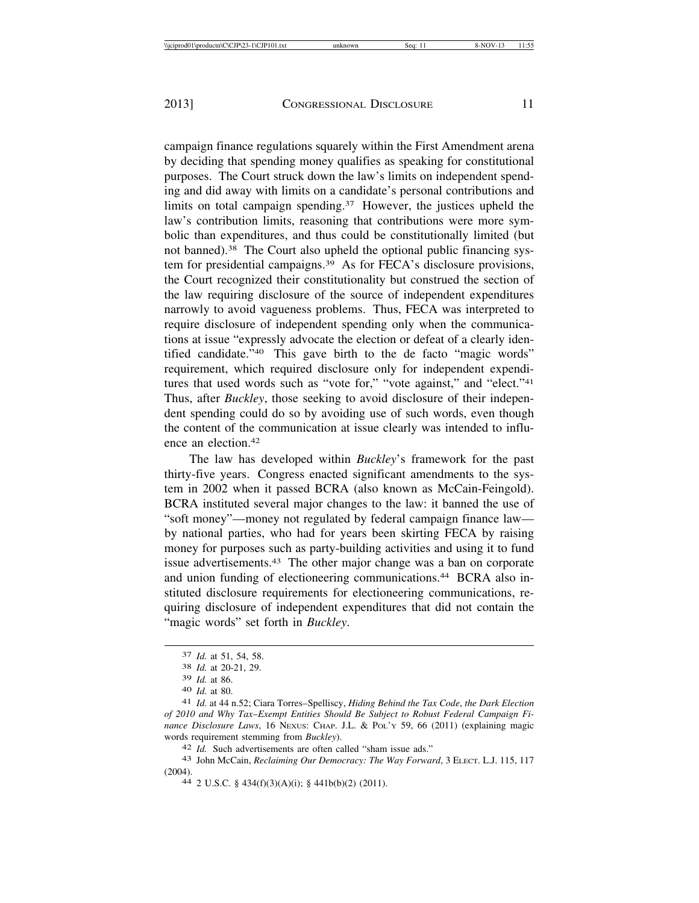campaign finance regulations squarely within the First Amendment arena by deciding that spending money qualifies as speaking for constitutional purposes. The Court struck down the law's limits on independent spending and did away with limits on a candidate's personal contributions and limits on total campaign spending. $37$  However, the justices upheld the law's contribution limits, reasoning that contributions were more symbolic than expenditures, and thus could be constitutionally limited (but not banned).38 The Court also upheld the optional public financing system for presidential campaigns.39 As for FECA's disclosure provisions, the Court recognized their constitutionality but construed the section of the law requiring disclosure of the source of independent expenditures narrowly to avoid vagueness problems. Thus, FECA was interpreted to require disclosure of independent spending only when the communications at issue "expressly advocate the election or defeat of a clearly identified candidate."40 This gave birth to the de facto "magic words" requirement, which required disclosure only for independent expenditures that used words such as "vote for," "vote against," and "elect."<sup>41</sup> Thus, after *Buckley*, those seeking to avoid disclosure of their independent spending could do so by avoiding use of such words, even though the content of the communication at issue clearly was intended to influence an election.42

The law has developed within *Buckley*'s framework for the past thirty-five years. Congress enacted significant amendments to the system in 2002 when it passed BCRA (also known as McCain-Feingold). BCRA instituted several major changes to the law: it banned the use of "soft money"—money not regulated by federal campaign finance law by national parties, who had for years been skirting FECA by raising money for purposes such as party-building activities and using it to fund issue advertisements.43 The other major change was a ban on corporate and union funding of electioneering communications.<sup>44</sup> BCRA also instituted disclosure requirements for electioneering communications, requiring disclosure of independent expenditures that did not contain the "magic words" set forth in *Buckley*.

<sup>37</sup> *Id.* at 51, 54, 58. <sup>38</sup> *Id.* at 20-21, 29.

<sup>39</sup> *Id.* at 86. <sup>40</sup> *Id.* at 80. <sup>41</sup> *Id.* at 44 n.52; Ciara Torres–Spelliscy, *Hiding Behind the Tax Code*, *the Dark Election of 2010 and Why Tax*–*Exempt Entities Should Be Subject to Robust Federal Campaign Finance Disclosure Laws*, 16 NEXUS: CHAP. J.L. & POL'Y 59, 66 (2011) (explaining magic words requirement stemming from *Buckley*).<br>
<sup>42</sup> *Id.* Such advertisements are often called "sham issue ads."<br>
<sup>43</sup> John McCain, *Reclaiming Our Democracy: The Way Forward*, 3 ELECT. L.J. 115, 117

<sup>(2004).</sup> <sup>44</sup> 2 U.S.C. § 434(f)(3)(A)(i); § 441b(b)(2) (2011).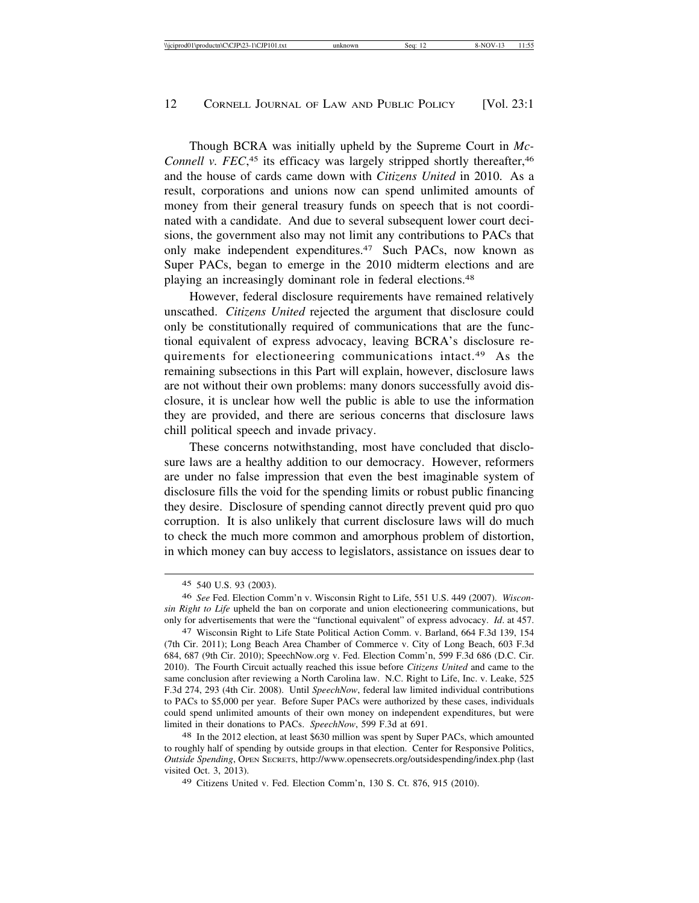Though BCRA was initially upheld by the Supreme Court in *Mc-*Connell v. FEC,<sup>45</sup> its efficacy was largely stripped shortly thereafter,<sup>46</sup> and the house of cards came down with *Citizens United* in 2010. As a result, corporations and unions now can spend unlimited amounts of money from their general treasury funds on speech that is not coordinated with a candidate. And due to several subsequent lower court decisions, the government also may not limit any contributions to PACs that only make independent expenditures.<sup>47</sup> Such PACs, now known as Super PACs, began to emerge in the 2010 midterm elections and are playing an increasingly dominant role in federal elections.48

However, federal disclosure requirements have remained relatively unscathed. *Citizens United* rejected the argument that disclosure could only be constitutionally required of communications that are the functional equivalent of express advocacy, leaving BCRA's disclosure requirements for electioneering communications intact.49 As the remaining subsections in this Part will explain, however, disclosure laws are not without their own problems: many donors successfully avoid disclosure, it is unclear how well the public is able to use the information they are provided, and there are serious concerns that disclosure laws chill political speech and invade privacy.

These concerns notwithstanding, most have concluded that disclosure laws are a healthy addition to our democracy. However, reformers are under no false impression that even the best imaginable system of disclosure fills the void for the spending limits or robust public financing they desire. Disclosure of spending cannot directly prevent quid pro quo corruption. It is also unlikely that current disclosure laws will do much to check the much more common and amorphous problem of distortion, in which money can buy access to legislators, assistance on issues dear to

48 In the 2012 election, at least \$630 million was spent by Super PACs, which amounted to roughly half of spending by outside groups in that election. Center for Responsive Politics, *Outside Spending*, OPEN SECRETS, http://www.opensecrets.org/outsidespending/index.php (last visited Oct. 3, 2013).

49 Citizens United v. Fed. Election Comm'n, 130 S. Ct. 876, 915 (2010).

<sup>45</sup> 540 U.S. 93 (2003).

<sup>46</sup> *See* Fed. Election Comm'n v. Wisconsin Right to Life, 551 U.S. 449 (2007). *Wisconsin Right to Life* upheld the ban on corporate and union electioneering communications, but only for advertisements that were the "functional equivalent" of express advocacy. *Id*. at 457.

<sup>47</sup> Wisconsin Right to Life State Political Action Comm. v. Barland, 664 F.3d 139, 154 (7th Cir. 2011); Long Beach Area Chamber of Commerce v. City of Long Beach, 603 F.3d 684, 687 (9th Cir. 2010); SpeechNow.org v. Fed. Election Comm'n, 599 F.3d 686 (D.C. Cir. 2010). The Fourth Circuit actually reached this issue before *Citizens United* and came to the same conclusion after reviewing a North Carolina law. N.C. Right to Life, Inc. v. Leake, 525 F.3d 274, 293 (4th Cir. 2008). Until *SpeechNow*, federal law limited individual contributions to PACs to \$5,000 per year. Before Super PACs were authorized by these cases, individuals could spend unlimited amounts of their own money on independent expenditures, but were limited in their donations to PACs. *SpeechNow*, 599 F.3d at 691.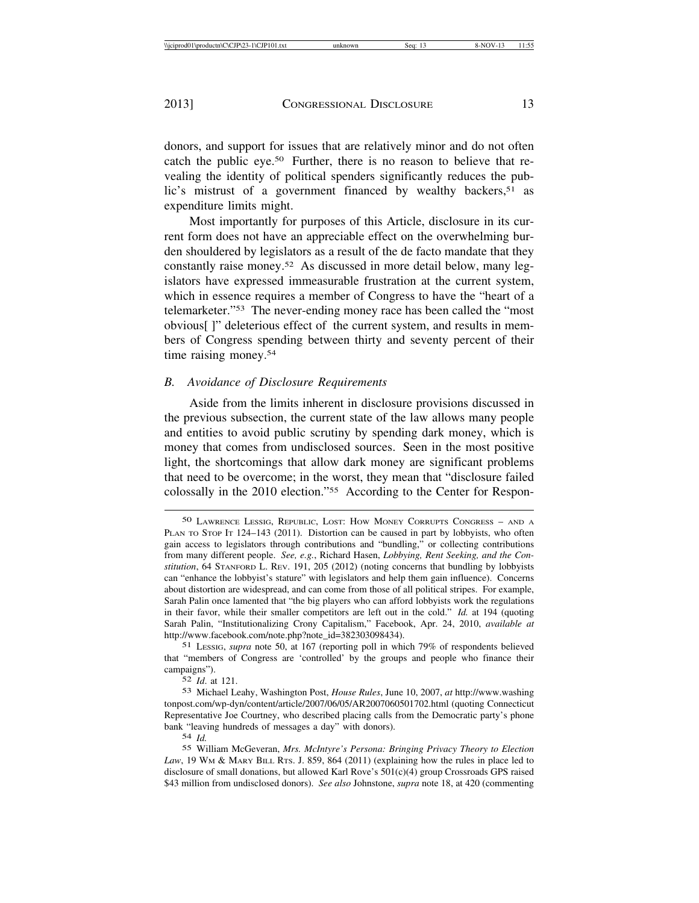donors, and support for issues that are relatively minor and do not often catch the public eye.50 Further, there is no reason to believe that revealing the identity of political spenders significantly reduces the public's mistrust of a government financed by wealthy backers,<sup>51</sup> as expenditure limits might.

Most importantly for purposes of this Article, disclosure in its current form does not have an appreciable effect on the overwhelming burden shouldered by legislators as a result of the de facto mandate that they constantly raise money.52 As discussed in more detail below, many legislators have expressed immeasurable frustration at the current system, which in essence requires a member of Congress to have the "heart of a telemarketer."53 The never-ending money race has been called the "most obvious[ ]" deleterious effect of the current system, and results in members of Congress spending between thirty and seventy percent of their time raising money.54

#### *B. Avoidance of Disclosure Requirements*

Aside from the limits inherent in disclosure provisions discussed in the previous subsection, the current state of the law allows many people and entities to avoid public scrutiny by spending dark money, which is money that comes from undisclosed sources. Seen in the most positive light, the shortcomings that allow dark money are significant problems that need to be overcome; in the worst, they mean that "disclosure failed colossally in the 2010 election."55 According to the Center for Respon-

51 LESSIG, *supra* note 50, at 167 (reporting poll in which 79% of respondents believed that "members of Congress are 'controlled' by the groups and people who finance their campaigns").

52 *Id*. at 121.

54 *Id.*

<sup>50</sup> LAWRENCE LESSIG, REPUBLIC, LOST: HOW MONEY CORRUPTS CONGRESS – AND A PLAN TO STOP IT 124–143 (2011). Distortion can be caused in part by lobbyists, who often gain access to legislators through contributions and "bundling," or collecting contributions from many different people. *See, e.g.*, Richard Hasen, *Lobbying, Rent Seeking, and the Constitution*, 64 STANFORD L. REV. 191, 205 (2012) (noting concerns that bundling by lobbyists can "enhance the lobbyist's stature" with legislators and help them gain influence). Concerns about distortion are widespread, and can come from those of all political stripes. For example, Sarah Palin once lamented that "the big players who can afford lobbyists work the regulations in their favor, while their smaller competitors are left out in the cold." *Id.* at 194 (quoting Sarah Palin, "Institutionalizing Crony Capitalism," Facebook, Apr. 24, 2010, *available at* http://www.facebook.com/note.php?note\_id=382303098434).

<sup>53</sup> Michael Leahy, Washington Post, *House Rules*, June 10, 2007, *at* http://www.washing tonpost.com/wp-dyn/content/article/2007/06/05/AR2007060501702.html (quoting Connecticut Representative Joe Courtney, who described placing calls from the Democratic party's phone bank "leaving hundreds of messages a day" with donors).

<sup>55</sup> William McGeveran, *Mrs. McIntyre's Persona: Bringing Privacy Theory to Election Law*, 19 WM & MARY BILL RTS. J. 859, 864 (2011) (explaining how the rules in place led to disclosure of small donations, but allowed Karl Rove's 501(c)(4) group Crossroads GPS raised \$43 million from undisclosed donors). *See also* Johnstone, *supra* note 18, at 420 (commenting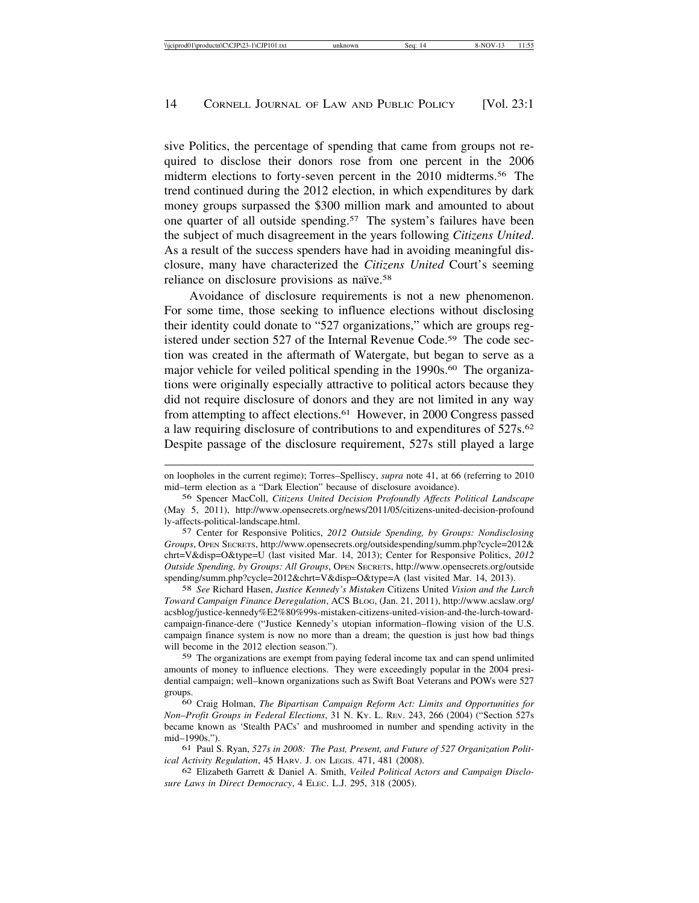sive Politics, the percentage of spending that came from groups not required to disclose their donors rose from one percent in the 2006 midterm elections to forty-seven percent in the 2010 midterms.<sup>56</sup> The trend continued during the 2012 election, in which expenditures by dark money groups surpassed the \$300 million mark and amounted to about one quarter of all outside spending.57 The system's failures have been the subject of much disagreement in the years following *Citizens United*. As a result of the success spenders have had in avoiding meaningful disclosure, many have characterized the *Citizens United* Court's seeming reliance on disclosure provisions as naïve.<sup>58</sup>

Avoidance of disclosure requirements is not a new phenomenon. For some time, those seeking to influence elections without disclosing their identity could donate to "527 organizations," which are groups registered under section 527 of the Internal Revenue Code.59 The code section was created in the aftermath of Watergate, but began to serve as a major vehicle for veiled political spending in the 1990s.<sup>60</sup> The organizations were originally especially attractive to political actors because they did not require disclosure of donors and they are not limited in any way from attempting to affect elections.61 However, in 2000 Congress passed a law requiring disclosure of contributions to and expenditures of 527s.62 Despite passage of the disclosure requirement, 527s still played a large

58 *See* Richard Hasen, *Justice Kennedy's Mistaken* Citizens United *Vision and the Lurch Toward Campaign Finance Deregulation*, ACS BLOG, (Jan. 21, 2011), http://www.acslaw.org/ acsblog/justice-kennedy%E2%80%99s-mistaken-citizens-united-vision-and-the-lurch-towardcampaign-finance-dere ("Justice Kennedy's utopian information–flowing vision of the U.S. campaign finance system is now no more than a dream; the question is just how bad things will become in the 2012 election season.").

59 The organizations are exempt from paying federal income tax and can spend unlimited amounts of money to influence elections. They were exceedingly popular in the 2004 presidential campaign; well–known organizations such as Swift Boat Veterans and POWs were 527 groups.

60 Craig Holman, *The Bipartisan Campaign Reform Act: Limits and Opportunities for Non*–*Profit Groups in Federal Elections*, 31 N. KY. L. REV. 243, 266 (2004) ("Section 527s became known as 'Stealth PACs' and mushroomed in number and spending activity in the mid–1990s.").

61 Paul S. Ryan, *527s in 2008: The Past, Present, and Future of 527 Organization Political Activity Regulation*, 45 HARV. J. ON LEGIS. 471, 481 (2008).

62 Elizabeth Garrett & Daniel A. Smith, *Veiled Political Actors and Campaign Disclosure Laws in Direct Democracy*, 4 ELEC. L.J. 295, 318 (2005).

on loopholes in the current regime); Torres–Spelliscy, *supra* note 41, at 66 (referring to 2010 mid–term election as a "Dark Election" because of disclosure avoidance).

<sup>56</sup> Spencer MacColl, *Citizens United Decision Profoundly Affects Political Landscape* (May 5, 2011), http://www.opensecrets.org/news/2011/05/citizens-united-decision-profound ly-affects-political-landscape.html.

<sup>57</sup> Center for Responsive Politics, *2012 Outside Spending, by Groups: Nondisclosing Groups*, OPEN SECRETS, http://www.opensecrets.org/outsidespending/summ.php?cycle=2012& chrt=V&disp=O&type=U (last visited Mar. 14, 2013); Center for Responsive Politics, *2012 Outside Spending, by Groups: All Groups*, OPEN SECRETS, http://www.opensecrets.org/outside spending/summ.php?cycle=2012&chrt=V&disp=O&type=A (last visited Mar. 14, 2013).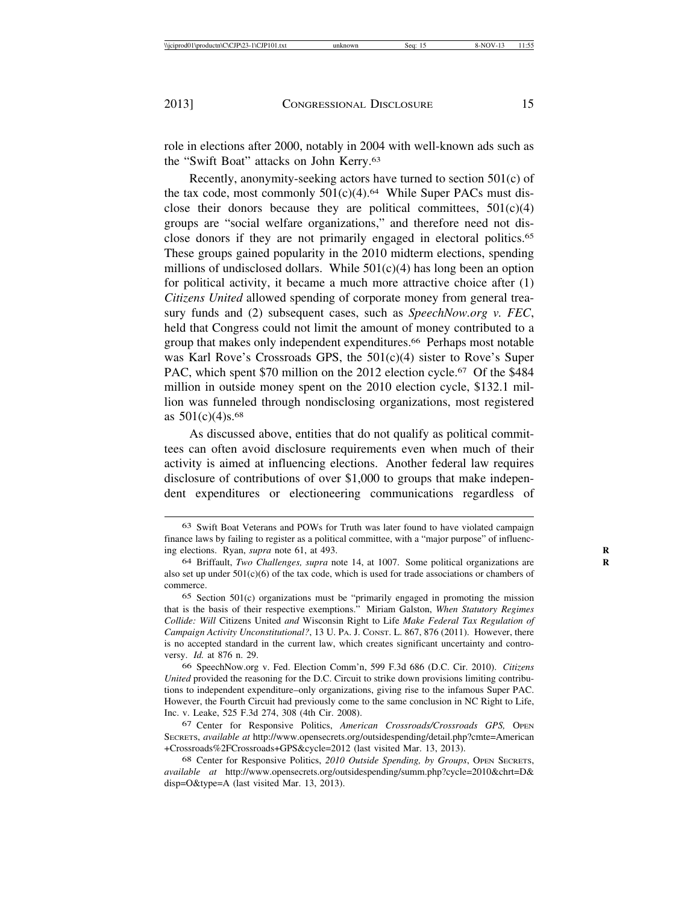role in elections after 2000, notably in 2004 with well-known ads such as the "Swift Boat" attacks on John Kerry.63

Recently, anonymity-seeking actors have turned to section 501(c) of the tax code, most commonly  $501(c)(4)$ .<sup>64</sup> While Super PACs must disclose their donors because they are political committees,  $501(c)(4)$ groups are "social welfare organizations," and therefore need not disclose donors if they are not primarily engaged in electoral politics.65 These groups gained popularity in the 2010 midterm elections, spending millions of undisclosed dollars. While  $501(c)(4)$  has long been an option for political activity, it became a much more attractive choice after (1) *Citizens United* allowed spending of corporate money from general treasury funds and (2) subsequent cases, such as *SpeechNow.org v. FEC*, held that Congress could not limit the amount of money contributed to a group that makes only independent expenditures.66 Perhaps most notable was Karl Rove's Crossroads GPS, the 501(c)(4) sister to Rove's Super PAC, which spent \$70 million on the 2012 election cycle.<sup>67</sup> Of the \$484 million in outside money spent on the 2010 election cycle, \$132.1 million was funneled through nondisclosing organizations, most registered as  $501(c)(4)$ s.<sup>68</sup>

As discussed above, entities that do not qualify as political committees can often avoid disclosure requirements even when much of their activity is aimed at influencing elections. Another federal law requires disclosure of contributions of over \$1,000 to groups that make independent expenditures or electioneering communications regardless of

<sup>63</sup> Swift Boat Veterans and POWs for Truth was later found to have violated campaign finance laws by failing to register as a political committee, with a "major purpose" of influencing elections. Ryan, *supra* note 61, at 493.

<sup>64</sup> Briffault, *Two Challenges, supra* note 14, at 1007. Some political organizations are **R** also set up under  $501(c)(6)$  of the tax code, which is used for trade associations or chambers of commerce.

<sup>65</sup> Section 501(c) organizations must be "primarily engaged in promoting the mission that is the basis of their respective exemptions." Miriam Galston, *When Statutory Regimes Collide: Will* Citizens United *and* Wisconsin Right to Life *Make Federal Tax Regulation of Campaign Activity Unconstitutional?*, 13 U. PA. J. CONST. L. 867, 876 (2011). However, there is no accepted standard in the current law, which creates significant uncertainty and controversy. *Id.* at 876 n. 29.

<sup>66</sup> SpeechNow.org v. Fed. Election Comm'n, 599 F.3d 686 (D.C. Cir. 2010). *Citizens United* provided the reasoning for the D.C. Circuit to strike down provisions limiting contributions to independent expenditure–only organizations, giving rise to the infamous Super PAC. However, the Fourth Circuit had previously come to the same conclusion in NC Right to Life, Inc. v. Leake, 525 F.3d 274, 308 (4th Cir. 2008).

<sup>67</sup> Center for Responsive Politics, *American Crossroads/Crossroads GPS,* OPEN SECRETS, *available at* http://www.opensecrets.org/outsidespending/detail.php?cmte=American +Crossroads%2FCrossroads+GPS&cycle=2012 (last visited Mar. 13, 2013).

<sup>68</sup> Center for Responsive Politics, *2010 Outside Spending, by Groups*, OPEN SECRETS, *available at* http://www.opensecrets.org/outsidespending/summ.php?cycle=2010&chrt=D& disp=O&type=A (last visited Mar. 13, 2013).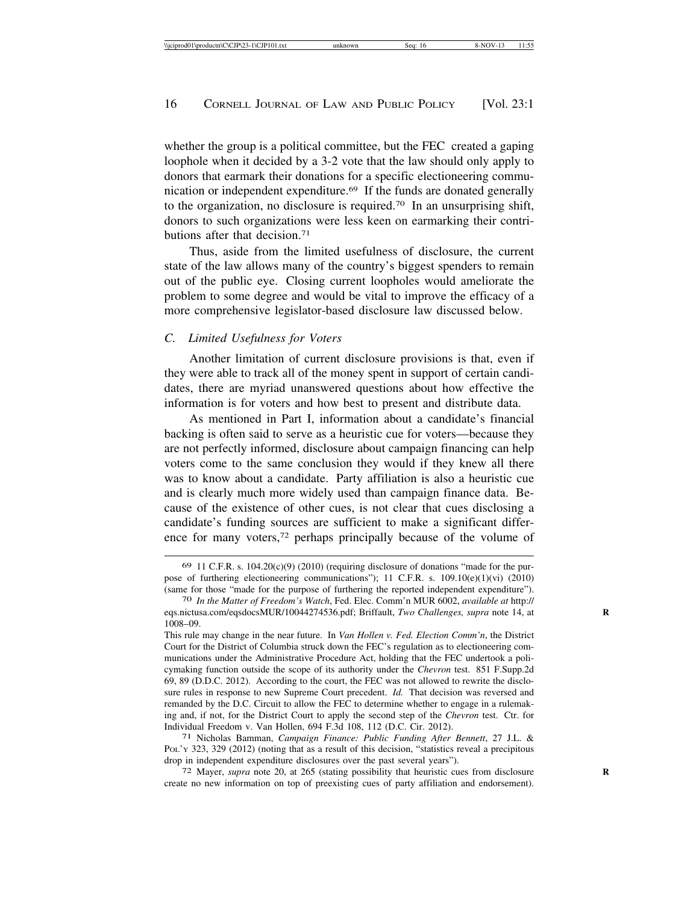whether the group is a political committee, but the FEC created a gaping loophole when it decided by a 3-2 vote that the law should only apply to donors that earmark their donations for a specific electioneering communication or independent expenditure.69 If the funds are donated generally to the organization, no disclosure is required.<sup>70</sup> In an unsurprising shift, donors to such organizations were less keen on earmarking their contributions after that decision.71

Thus, aside from the limited usefulness of disclosure, the current state of the law allows many of the country's biggest spenders to remain out of the public eye. Closing current loopholes would ameliorate the problem to some degree and would be vital to improve the efficacy of a more comprehensive legislator-based disclosure law discussed below.

#### *C. Limited Usefulness for Voters*

Another limitation of current disclosure provisions is that, even if they were able to track all of the money spent in support of certain candidates, there are myriad unanswered questions about how effective the information is for voters and how best to present and distribute data.

As mentioned in Part I, information about a candidate's financial backing is often said to serve as a heuristic cue for voters—because they are not perfectly informed, disclosure about campaign financing can help voters come to the same conclusion they would if they knew all there was to know about a candidate. Party affiliation is also a heuristic cue and is clearly much more widely used than campaign finance data. Because of the existence of other cues, is not clear that cues disclosing a candidate's funding sources are sufficient to make a significant difference for many voters,72 perhaps principally because of the volume of

 $69$  11 C.F.R. s.  $104.20(c)(9)$  (2010) (requiring disclosure of donations "made for the purpose of furthering electioneering communications"); 11 C.F.R. s. 109.10(e)(1)(vi) (2010) (same for those "made for the purpose of furthering the reported independent expenditure"). <sup>70</sup> *In the Matter of Freedom's Watch*, Fed. Elec. Comm'n MUR 6002, *available at* http://

eqs.nictusa.com/eqsdocsMUR/10044274536.pdf; Briffault, *Two Challenges, supra* note 14, at **R** 1008–09.

This rule may change in the near future. In *Van Hollen v. Fed. Election Comm'n*, the District Court for the District of Columbia struck down the FEC's regulation as to electioneering communications under the Administrative Procedure Act, holding that the FEC undertook a policymaking function outside the scope of its authority under the *Chevron* test. 851 F.Supp.2d 69, 89 (D.D.C. 2012). According to the court, the FEC was not allowed to rewrite the disclosure rules in response to new Supreme Court precedent. *Id.* That decision was reversed and remanded by the D.C. Circuit to allow the FEC to determine whether to engage in a rulemaking and, if not, for the District Court to apply the second step of the *Chevron* test. Ctr. for Individual Freedom v. Van Hollen, 694 F.3d 108, 112 (D.C. Cir. 2012). <sup>71</sup> Nicholas Bamman, *Campaign Finance: Public Funding After Bennett*, 27 J.L. &

PoL'y 323, 329 (2012) (noting that as a result of this decision, "statistics reveal a precipitous drop in independent expenditure disclosures over the past several years"). <sup>72</sup> Mayer, *supra* note 20, at 265 (stating possibility that heuristic cues from disclosure

create no new information on top of preexisting cues of party affiliation and endorsement).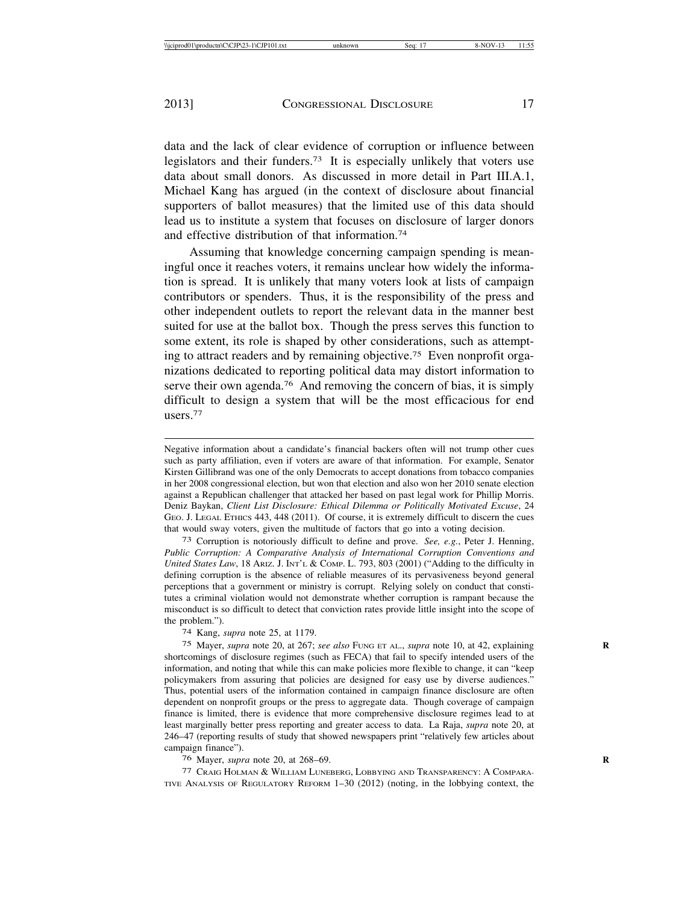data and the lack of clear evidence of corruption or influence between legislators and their funders.73 It is especially unlikely that voters use data about small donors. As discussed in more detail in Part III.A.1, Michael Kang has argued (in the context of disclosure about financial supporters of ballot measures) that the limited use of this data should lead us to institute a system that focuses on disclosure of larger donors and effective distribution of that information.74

Assuming that knowledge concerning campaign spending is meaningful once it reaches voters, it remains unclear how widely the information is spread. It is unlikely that many voters look at lists of campaign contributors or spenders. Thus, it is the responsibility of the press and other independent outlets to report the relevant data in the manner best suited for use at the ballot box. Though the press serves this function to some extent, its role is shaped by other considerations, such as attempting to attract readers and by remaining objective.75 Even nonprofit organizations dedicated to reporting political data may distort information to serve their own agenda.<sup>76</sup> And removing the concern of bias, it is simply difficult to design a system that will be the most efficacious for end users.77

Negative information about a candidate's financial backers often will not trump other cues such as party affiliation, even if voters are aware of that information. For example, Senator Kirsten Gillibrand was one of the only Democrats to accept donations from tobacco companies in her 2008 congressional election, but won that election and also won her 2010 senate election against a Republican challenger that attacked her based on past legal work for Phillip Morris. Deniz Baykan, *Client List Disclosure: Ethical Dilemma or Politically Motivated Excuse*, 24 GEO. J. LEGAL ETHICS 443, 448 (2011). Of course, it is extremely difficult to discern the cues that would sway voters, given the multitude of factors that go into a voting decision.

73 Corruption is notoriously difficult to define and prove. *See, e.g.*, Peter J. Henning, *Public Corruption: A Comparative Analysis of International Corruption Conventions and United States Law*, 18 ARIZ. J. INT'L & COMP. L. 793, 803 (2001) ("Adding to the difficulty in defining corruption is the absence of reliable measures of its pervasiveness beyond general perceptions that a government or ministry is corrupt. Relying solely on conduct that constitutes a criminal violation would not demonstrate whether corruption is rampant because the misconduct is so difficult to detect that conviction rates provide little insight into the scope of the problem.").

74 Kang, *supra* note 25, at 1179.

75 Mayer, *supra* note 20, at 267; *see also* FUNG ET AL., *supra* note 10, at 42, explaining **R** shortcomings of disclosure regimes (such as FECA) that fail to specify intended users of the information, and noting that while this can make policies more flexible to change, it can "keep policymakers from assuring that policies are designed for easy use by diverse audiences." Thus, potential users of the information contained in campaign finance disclosure are often dependent on nonprofit groups or the press to aggregate data. Though coverage of campaign finance is limited, there is evidence that more comprehensive disclosure regimes lead to at least marginally better press reporting and greater access to data. La Raja, *supra* note 20, at 246–47 (reporting results of study that showed newspapers print "relatively few articles about campaign finance").

76 Mayer, *supra* note 20, at 268–69. **R**

77 CRAIG HOLMAN & WILLIAM LUNEBERG, LOBBYING AND TRANSPARENCY: A COMPARA-TIVE ANALYSIS OF REGULATORY REFORM 1–30 (2012) (noting, in the lobbying context, the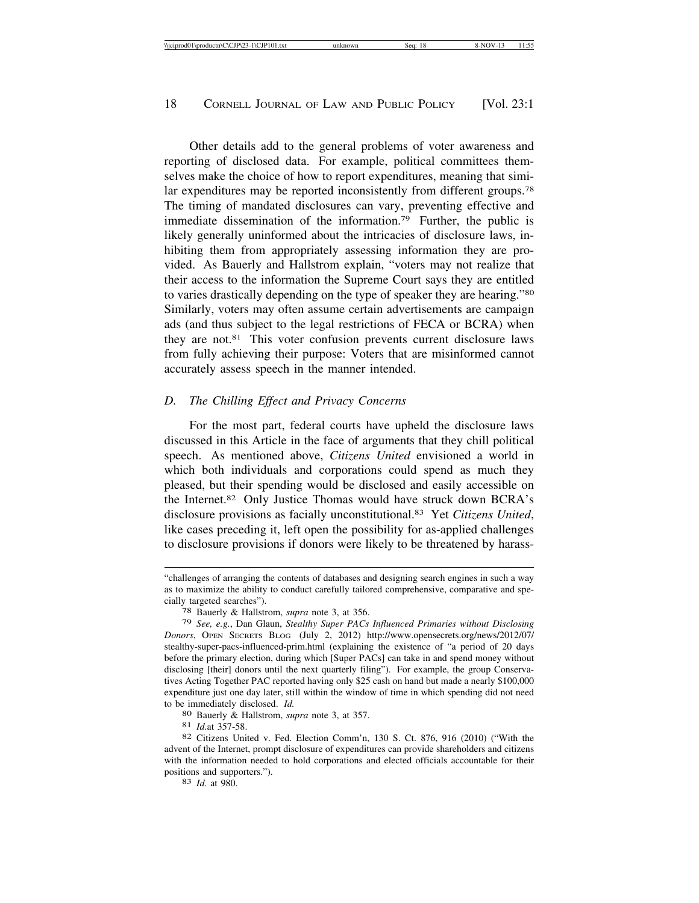Other details add to the general problems of voter awareness and reporting of disclosed data. For example, political committees themselves make the choice of how to report expenditures, meaning that similar expenditures may be reported inconsistently from different groups.78 The timing of mandated disclosures can vary, preventing effective and immediate dissemination of the information.<sup>79</sup> Further, the public is likely generally uninformed about the intricacies of disclosure laws, inhibiting them from appropriately assessing information they are provided. As Bauerly and Hallstrom explain, "voters may not realize that their access to the information the Supreme Court says they are entitled to varies drastically depending on the type of speaker they are hearing."80 Similarly, voters may often assume certain advertisements are campaign ads (and thus subject to the legal restrictions of FECA or BCRA) when they are not.81 This voter confusion prevents current disclosure laws from fully achieving their purpose: Voters that are misinformed cannot accurately assess speech in the manner intended.

#### *D. The Chilling Effect and Privacy Concerns*

For the most part, federal courts have upheld the disclosure laws discussed in this Article in the face of arguments that they chill political speech. As mentioned above, *Citizens United* envisioned a world in which both individuals and corporations could spend as much they pleased, but their spending would be disclosed and easily accessible on the Internet.82 Only Justice Thomas would have struck down BCRA's disclosure provisions as facially unconstitutional.83 Yet *Citizens United*, like cases preceding it, left open the possibility for as-applied challenges to disclosure provisions if donors were likely to be threatened by harass-

<sup>&</sup>quot;challenges of arranging the contents of databases and designing search engines in such a way as to maximize the ability to conduct carefully tailored comprehensive, comparative and specially targeted searches"). <sup>78</sup> Bauerly & Hallstrom, *supra* note 3, at 356.

<sup>79</sup> *See, e.g.*, Dan Glaun, *Stealthy Super PACs Influenced Primaries without Disclosing Donors*, OPEN SECRETS BLOG (July 2, 2012) http://www.opensecrets.org/news/2012/07/ stealthy-super-pacs-influenced-prim.html (explaining the existence of "a period of 20 days before the primary election, during which [Super PACs] can take in and spend money without disclosing [their] donors until the next quarterly filing"). For example, the group Conservatives Acting Together PAC reported having only \$25 cash on hand but made a nearly \$100,000 expenditure just one day later, still within the window of time in which spending did not need to be immediately disclosed. *Id.* 80 Bauerly & Hallstrom, *supra* note 3, at 357. 81 *Id.at* 357-58. 82 Citizens United v. Fed. Election Comm'n, 130 S. Ct. 876, 916 (2010) ("With the same set al. 82

advent of the Internet, prompt disclosure of expenditures can provide shareholders and citizens with the information needed to hold corporations and elected officials accountable for their positions and supporters."). <sup>83</sup> *Id.* at 980.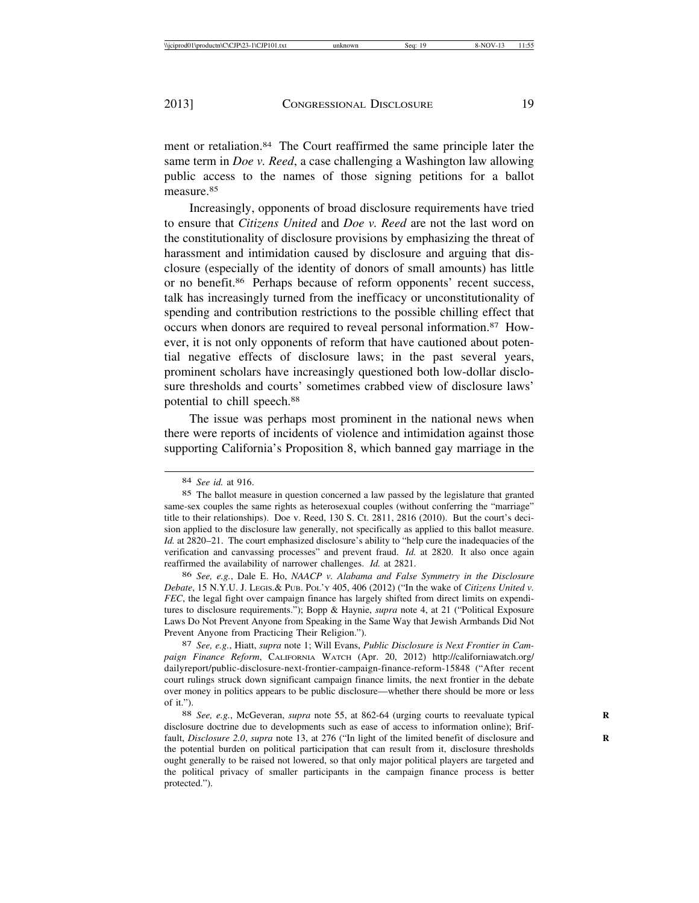ment or retaliation.84 The Court reaffirmed the same principle later the same term in *Doe v. Reed*, a case challenging a Washington law allowing public access to the names of those signing petitions for a ballot measure.<sup>85</sup>

Increasingly, opponents of broad disclosure requirements have tried to ensure that *Citizens United* and *Doe v. Reed* are not the last word on the constitutionality of disclosure provisions by emphasizing the threat of harassment and intimidation caused by disclosure and arguing that disclosure (especially of the identity of donors of small amounts) has little or no benefit.86 Perhaps because of reform opponents' recent success, talk has increasingly turned from the inefficacy or unconstitutionality of spending and contribution restrictions to the possible chilling effect that occurs when donors are required to reveal personal information.87 However, it is not only opponents of reform that have cautioned about potential negative effects of disclosure laws; in the past several years, prominent scholars have increasingly questioned both low-dollar disclosure thresholds and courts' sometimes crabbed view of disclosure laws' potential to chill speech.88

The issue was perhaps most prominent in the national news when there were reports of incidents of violence and intimidation against those supporting California's Proposition 8, which banned gay marriage in the

87 *See, e.g.*, Hiatt, *supra* note 1; Will Evans, *Public Disclosure is Next Frontier in Campaign Finance Reform*, CALIFORNIA WATCH (Apr. 20, 2012) http://californiawatch.org/ dailyreport/public-disclosure-next-frontier-campaign-finance-reform-15848 ("After recent court rulings struck down significant campaign finance limits, the next frontier in the debate over money in politics appears to be public disclosure—whether there should be more or less of it.").

<sup>84</sup> *See id.* at 916.

<sup>85</sup> The ballot measure in question concerned a law passed by the legislature that granted same-sex couples the same rights as heterosexual couples (without conferring the "marriage" title to their relationships). Doe v. Reed, 130 S. Ct. 2811, 2816 (2010). But the court's decision applied to the disclosure law generally, not specifically as applied to this ballot measure. *Id.* at 2820–21. The court emphasized disclosure's ability to "help cure the inadequacies of the verification and canvassing processes" and prevent fraud. *Id.* at 2820. It also once again reaffirmed the availability of narrower challenges. *Id.* at 2821.

<sup>86</sup> *See, e.g.*, Dale E. Ho, *NAACP v. Alabama and False Symmetry in the Disclosure Debate*, 15 N.Y.U. J. LEGIS.& PUB. POL'Y 405, 406 (2012) ("In the wake of *Citizens United v. FEC*, the legal fight over campaign finance has largely shifted from direct limits on expenditures to disclosure requirements."); Bopp & Haynie, *supra* note 4, at 21 ("Political Exposure Laws Do Not Prevent Anyone from Speaking in the Same Way that Jewish Armbands Did Not Prevent Anyone from Practicing Their Religion.").

<sup>88</sup> *See, e.g.*, McGeveran, *supra* note 55, at 862-64 (urging courts to reevaluate typical **R** disclosure doctrine due to developments such as ease of access to information online); Briffault, *Disclosure 2.0*, *supra* note 13, at 276 ("In light of the limited benefit of disclosure and **R** the potential burden on political participation that can result from it, disclosure thresholds ought generally to be raised not lowered, so that only major political players are targeted and the political privacy of smaller participants in the campaign finance process is better protected.").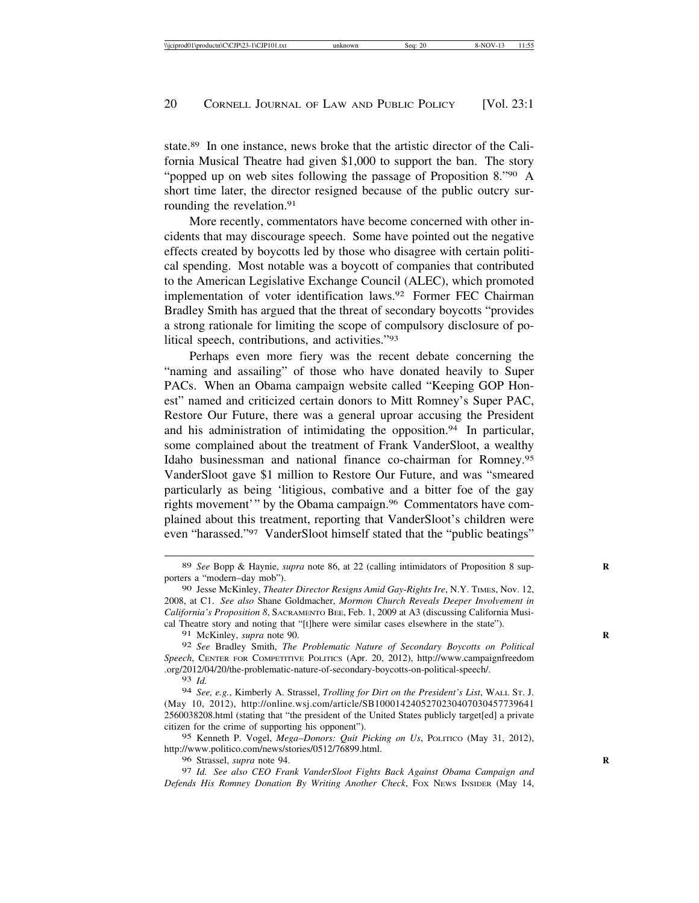state.89 In one instance, news broke that the artistic director of the California Musical Theatre had given \$1,000 to support the ban. The story "popped up on web sites following the passage of Proposition 8."90 A short time later, the director resigned because of the public outcry surrounding the revelation.<sup>91</sup>

More recently, commentators have become concerned with other incidents that may discourage speech. Some have pointed out the negative effects created by boycotts led by those who disagree with certain political spending. Most notable was a boycott of companies that contributed to the American Legislative Exchange Council (ALEC), which promoted implementation of voter identification laws.92 Former FEC Chairman Bradley Smith has argued that the threat of secondary boycotts "provides a strong rationale for limiting the scope of compulsory disclosure of political speech, contributions, and activities."93

Perhaps even more fiery was the recent debate concerning the "naming and assailing" of those who have donated heavily to Super PACs. When an Obama campaign website called "Keeping GOP Honest" named and criticized certain donors to Mitt Romney's Super PAC, Restore Our Future, there was a general uproar accusing the President and his administration of intimidating the opposition.94 In particular, some complained about the treatment of Frank VanderSloot, a wealthy Idaho businessman and national finance co-chairman for Romney.95 VanderSloot gave \$1 million to Restore Our Future, and was "smeared particularly as being 'litigious, combative and a bitter foe of the gay rights movement'" by the Obama campaign.96 Commentators have complained about this treatment, reporting that VanderSloot's children were even "harassed."97 VanderSloot himself stated that the "public beatings"

91 McKinley, *supra* note 90. **R**

92 *See* Bradley Smith, *The Problematic Nature of Secondary Boycotts on Political Speech*, CENTER FOR COMPETITIVE POLITICS (Apr. 20, 2012), http://www.campaignfreedom .org/2012/04/20/the-problematic-nature-of-secondary-boycotts-on-political-speech/.

93 *Id.*

94 *See, e.g.*, Kimberly A. Strassel, *Trolling for Dirt on the President's List*, WALL ST. J. (May 10, 2012), http://online.wsj.com/article/SB1000142405270230407030457739641 2560038208.html (stating that "the president of the United States publicly target[ed] a private citizen for the crime of supporting his opponent").

95 Kenneth P. Vogel, *Mega*–*Donors: Quit Picking on Us*, POLITICO (May 31, 2012), http://www.politico.com/news/stories/0512/76899.html.

96 Strassel, *supra* note 94. **R**

97 *Id. See also CEO Frank VanderSloot Fights Back Against Obama Campaign and Defends His Romney Donation By Writing Another Check*, FOX NEWS INSIDER (May 14,

<sup>89</sup> *See* Bopp & Haynie, *supra* note 86, at 22 (calling intimidators of Proposition 8 supporters a "modern–day mob").

<sup>90</sup> Jesse McKinley, *Theater Director Resigns Amid Gay*-*Rights Ire*, N.Y. TIMES, Nov. 12, 2008, at C1. *See also* Shane Goldmacher, *Mormon Church Reveals Deeper Involvement in California's Proposition 8*, SACRAMENTO BEE, Feb. 1, 2009 at A3 (discussing California Musical Theatre story and noting that "[t]here were similar cases elsewhere in the state").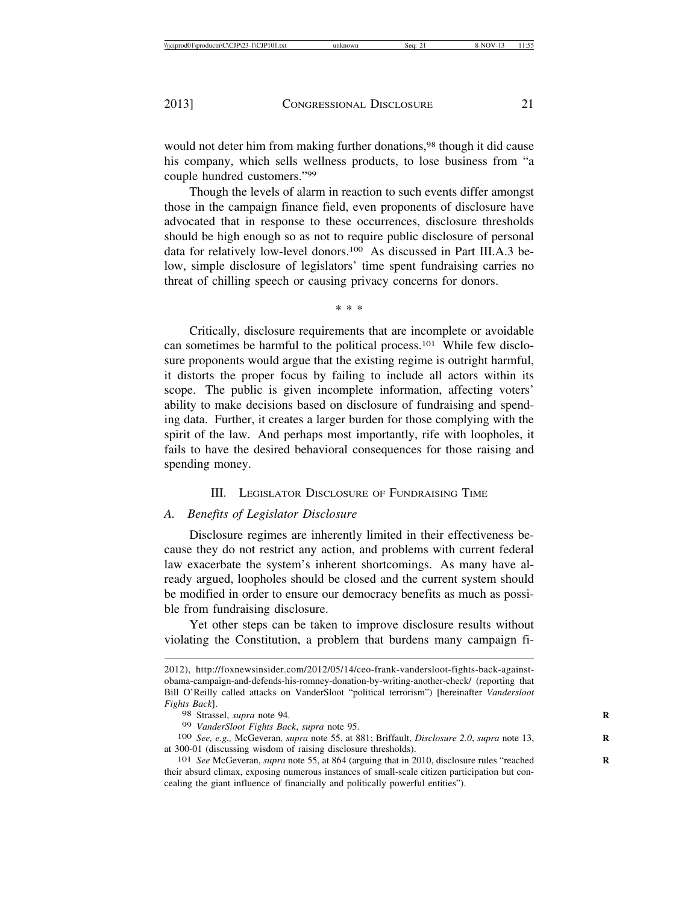would not deter him from making further donations,<sup>98</sup> though it did cause his company, which sells wellness products, to lose business from "a couple hundred customers."99

Though the levels of alarm in reaction to such events differ amongst those in the campaign finance field, even proponents of disclosure have advocated that in response to these occurrences, disclosure thresholds should be high enough so as not to require public disclosure of personal data for relatively low-level donors.100 As discussed in Part III.A.3 below, simple disclosure of legislators' time spent fundraising carries no threat of chilling speech or causing privacy concerns for donors.

\* \* \*

Critically, disclosure requirements that are incomplete or avoidable can sometimes be harmful to the political process.101 While few disclosure proponents would argue that the existing regime is outright harmful, it distorts the proper focus by failing to include all actors within its scope. The public is given incomplete information, affecting voters' ability to make decisions based on disclosure of fundraising and spending data. Further, it creates a larger burden for those complying with the spirit of the law. And perhaps most importantly, rife with loopholes, it fails to have the desired behavioral consequences for those raising and spending money.

III. LEGISLATOR DISCLOSURE OF FUNDRAISING TIME

#### *A. Benefits of Legislator Disclosure*

Disclosure regimes are inherently limited in their effectiveness because they do not restrict any action, and problems with current federal law exacerbate the system's inherent shortcomings. As many have already argued, loopholes should be closed and the current system should be modified in order to ensure our democracy benefits as much as possible from fundraising disclosure.

Yet other steps can be taken to improve disclosure results without violating the Constitution, a problem that burdens many campaign fi-

<sup>2012),</sup> http://foxnewsinsider.com/2012/05/14/ceo-frank-vandersloot-fights-back-againstobama-campaign-and-defends-his-romney-donation-by-writing-another-check/ (reporting that Bill O'Reilly called attacks on VanderSloot "political terrorism") [hereinafter *Vandersloot Fights Back*].

<sup>98</sup> Strassel, *supra* note 94.<br>99 VanderSloot Fights Back, *supra* note 95.

<sup>100</sup> *See, e.g., McGeveran, supra note 55, at 881; Briffault, Disclosure 2.0, supra note 13,* at 300-01 (discussing wisdom of raising disclosure thresholds). <sup>101</sup> *See* McGeveran, *supra* note 55, at 864 (arguing that in 2010, disclosure rules "reached **<sup>R</sup>**

their absurd climax, exposing numerous instances of small-scale citizen participation but concealing the giant influence of financially and politically powerful entities").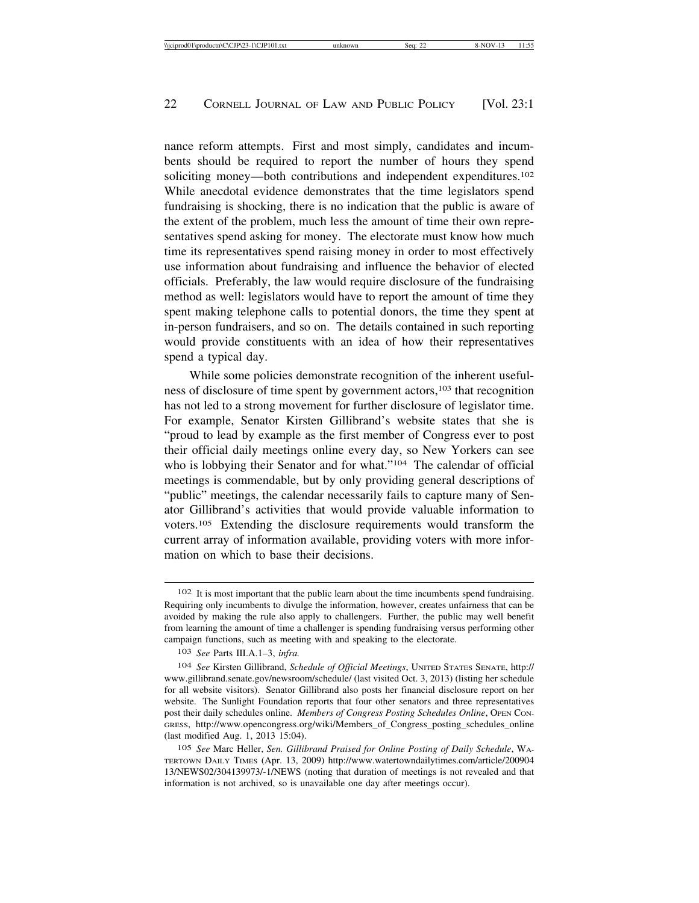nance reform attempts. First and most simply, candidates and incumbents should be required to report the number of hours they spend soliciting money—both contributions and independent expenditures.102 While anecdotal evidence demonstrates that the time legislators spend fundraising is shocking, there is no indication that the public is aware of the extent of the problem, much less the amount of time their own representatives spend asking for money. The electorate must know how much time its representatives spend raising money in order to most effectively use information about fundraising and influence the behavior of elected officials. Preferably, the law would require disclosure of the fundraising method as well: legislators would have to report the amount of time they spent making telephone calls to potential donors, the time they spent at in-person fundraisers, and so on. The details contained in such reporting would provide constituents with an idea of how their representatives spend a typical day.

While some policies demonstrate recognition of the inherent usefulness of disclosure of time spent by government actors,103 that recognition has not led to a strong movement for further disclosure of legislator time. For example, Senator Kirsten Gillibrand's website states that she is "proud to lead by example as the first member of Congress ever to post their official daily meetings online every day, so New Yorkers can see who is lobbying their Senator and for what."<sup>104</sup> The calendar of official meetings is commendable, but by only providing general descriptions of "public" meetings, the calendar necessarily fails to capture many of Senator Gillibrand's activities that would provide valuable information to voters.105 Extending the disclosure requirements would transform the current array of information available, providing voters with more information on which to base their decisions.

<sup>102</sup> It is most important that the public learn about the time incumbents spend fundraising. Requiring only incumbents to divulge the information, however, creates unfairness that can be avoided by making the rule also apply to challengers. Further, the public may well benefit from learning the amount of time a challenger is spending fundraising versus performing other campaign functions, such as meeting with and speaking to the electorate.

<sup>103</sup> *See* Parts III.A.1–3, *infra.*

<sup>104</sup> *See* Kirsten Gillibrand, *Schedule of Official Meetings*, UNITED STATES SENATE, http:// www.gillibrand.senate.gov/newsroom/schedule/ (last visited Oct. 3, 2013) (listing her schedule for all website visitors). Senator Gillibrand also posts her financial disclosure report on her website. The Sunlight Foundation reports that four other senators and three representatives post their daily schedules online. *Members of Congress Posting Schedules Online*, OPEN CON-GRESS, http://www.opencongress.org/wiki/Members\_of\_Congress\_posting\_schedules\_online (last modified Aug. 1, 2013 15:04).

<sup>105</sup> *See* Marc Heller, *Sen. Gillibrand Praised for Online Posting of Daily Schedule*, WA-TERTOWN DAILY TIMES (Apr. 13, 2009) http://www.watertowndailytimes.com/article/200904 13/NEWS02/304139973/-1/NEWS (noting that duration of meetings is not revealed and that information is not archived, so is unavailable one day after meetings occur).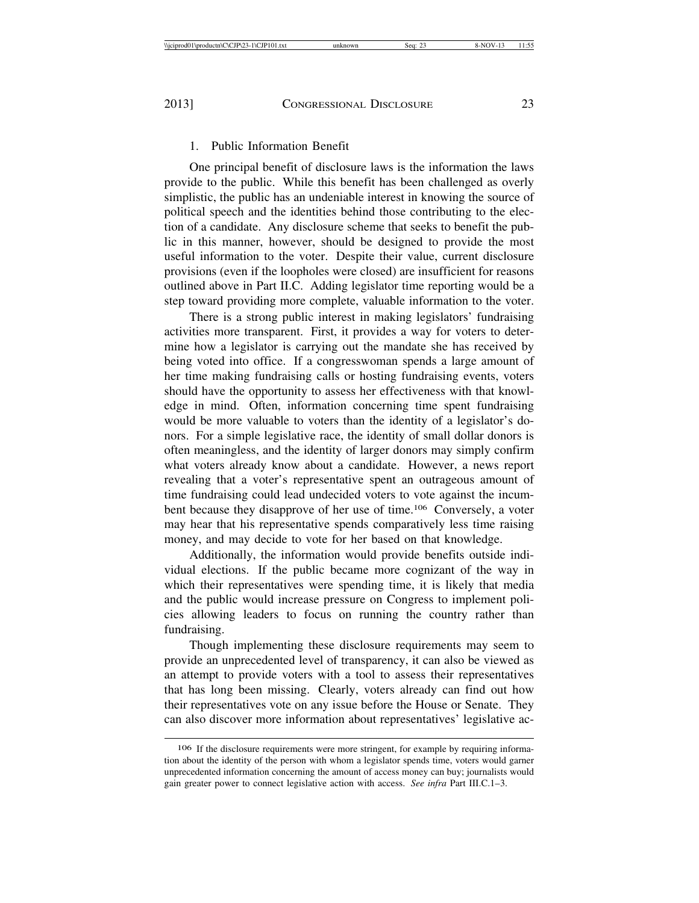#### 1. Public Information Benefit

One principal benefit of disclosure laws is the information the laws provide to the public. While this benefit has been challenged as overly simplistic, the public has an undeniable interest in knowing the source of political speech and the identities behind those contributing to the election of a candidate. Any disclosure scheme that seeks to benefit the public in this manner, however, should be designed to provide the most useful information to the voter. Despite their value, current disclosure provisions (even if the loopholes were closed) are insufficient for reasons outlined above in Part II.C. Adding legislator time reporting would be a step toward providing more complete, valuable information to the voter.

There is a strong public interest in making legislators' fundraising activities more transparent. First, it provides a way for voters to determine how a legislator is carrying out the mandate she has received by being voted into office. If a congresswoman spends a large amount of her time making fundraising calls or hosting fundraising events, voters should have the opportunity to assess her effectiveness with that knowledge in mind. Often, information concerning time spent fundraising would be more valuable to voters than the identity of a legislator's donors. For a simple legislative race, the identity of small dollar donors is often meaningless, and the identity of larger donors may simply confirm what voters already know about a candidate. However, a news report revealing that a voter's representative spent an outrageous amount of time fundraising could lead undecided voters to vote against the incumbent because they disapprove of her use of time.106 Conversely, a voter may hear that his representative spends comparatively less time raising money, and may decide to vote for her based on that knowledge.

Additionally, the information would provide benefits outside individual elections. If the public became more cognizant of the way in which their representatives were spending time, it is likely that media and the public would increase pressure on Congress to implement policies allowing leaders to focus on running the country rather than fundraising.

Though implementing these disclosure requirements may seem to provide an unprecedented level of transparency, it can also be viewed as an attempt to provide voters with a tool to assess their representatives that has long been missing. Clearly, voters already can find out how their representatives vote on any issue before the House or Senate. They can also discover more information about representatives' legislative ac-

<sup>106</sup> If the disclosure requirements were more stringent, for example by requiring information about the identity of the person with whom a legislator spends time, voters would garner unprecedented information concerning the amount of access money can buy; journalists would gain greater power to connect legislative action with access. *See infra* Part III.C.1–3.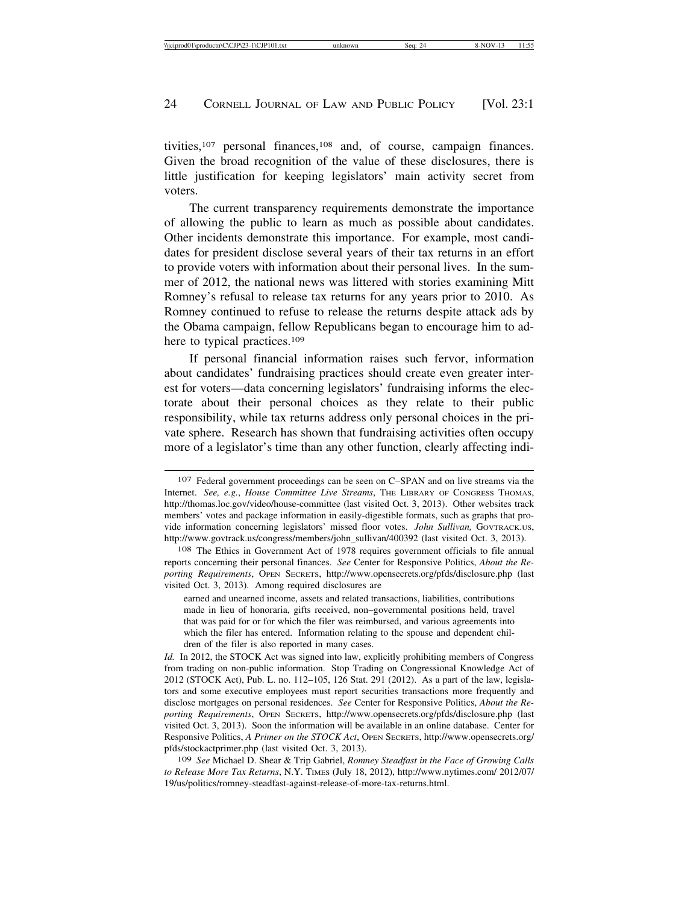tivities,<sup>107</sup> personal finances,<sup>108</sup> and, of course, campaign finances. Given the broad recognition of the value of these disclosures, there is little justification for keeping legislators' main activity secret from voters.

The current transparency requirements demonstrate the importance of allowing the public to learn as much as possible about candidates. Other incidents demonstrate this importance. For example, most candidates for president disclose several years of their tax returns in an effort to provide voters with information about their personal lives. In the summer of 2012, the national news was littered with stories examining Mitt Romney's refusal to release tax returns for any years prior to 2010. As Romney continued to refuse to release the returns despite attack ads by the Obama campaign, fellow Republicans began to encourage him to adhere to typical practices.<sup>109</sup>

If personal financial information raises such fervor, information about candidates' fundraising practices should create even greater interest for voters—data concerning legislators' fundraising informs the electorate about their personal choices as they relate to their public responsibility, while tax returns address only personal choices in the private sphere. Research has shown that fundraising activities often occupy more of a legislator's time than any other function, clearly affecting indi-

<sup>107</sup> Federal government proceedings can be seen on C–SPAN and on live streams via the Internet. *See, e.g.*, *House Committee Live Streams*, THE LIBRARY OF CONGRESS THOMAS, http://thomas.loc.gov/video/house-committee (last visited Oct. 3, 2013). Other websites track members' votes and package information in easily-digestible formats, such as graphs that provide information concerning legislators' missed floor votes. *John Sullivan,* GOVTRACK.US, http://www.govtrack.us/congress/members/john\_sullivan/400392 (last visited Oct. 3, 2013).

<sup>108</sup> The Ethics in Government Act of 1978 requires government officials to file annual reports concerning their personal finances. *See* Center for Responsive Politics, *About the Reporting Requirements*, OPEN SECRETS, http://www.opensecrets.org/pfds/disclosure.php (last visited Oct. 3, 2013). Among required disclosures are

earned and unearned income, assets and related transactions, liabilities, contributions made in lieu of honoraria, gifts received, non–governmental positions held, travel that was paid for or for which the filer was reimbursed, and various agreements into which the filer has entered. Information relating to the spouse and dependent children of the filer is also reported in many cases.

*Id.* In 2012, the STOCK Act was signed into law, explicitly prohibiting members of Congress from trading on non-public information. Stop Trading on Congressional Knowledge Act of 2012 (STOCK Act), Pub. L. no. 112–105, 126 Stat. 291 (2012). As a part of the law, legislators and some executive employees must report securities transactions more frequently and disclose mortgages on personal residences. *See* Center for Responsive Politics, *About the Reporting Requirements*, OPEN SECRETS, http://www.opensecrets.org/pfds/disclosure.php (last visited Oct. 3, 2013). Soon the information will be available in an online database. Center for Responsive Politics, *A Primer on the STOCK Act*, OPEN SECRETS, http://www.opensecrets.org/ pfds/stockactprimer.php (last visited Oct. 3, 2013).

<sup>109</sup> *See* Michael D. Shear & Trip Gabriel, *Romney Steadfast in the Face of Growing Calls to Release More Tax Returns*, N.Y. TIMES (July 18, 2012), http://www.nytimes.com/ 2012/07/ 19/us/politics/romney-steadfast-against-release-of-more-tax-returns.html.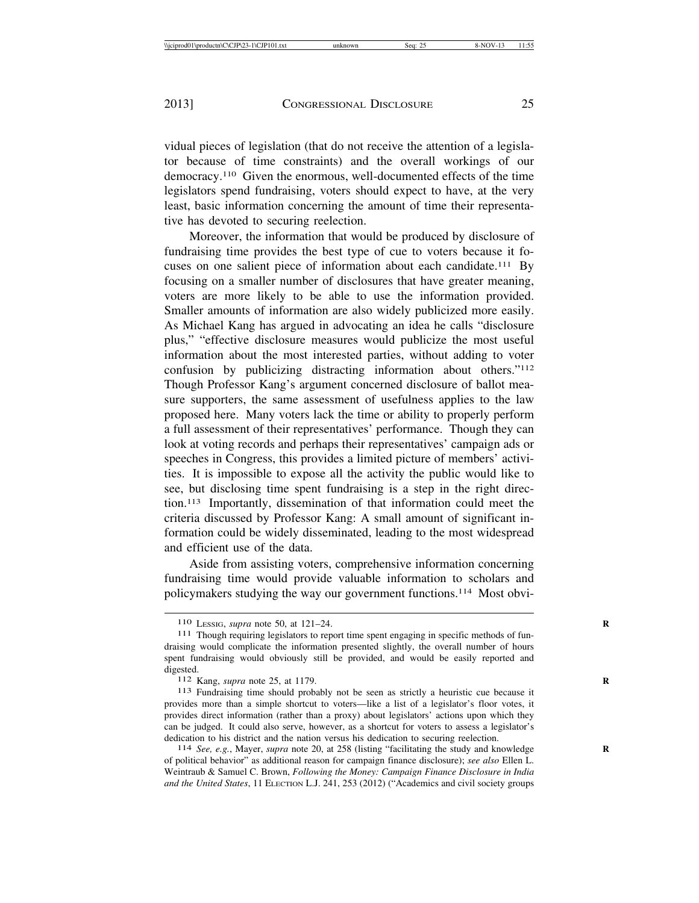vidual pieces of legislation (that do not receive the attention of a legislator because of time constraints) and the overall workings of our democracy.110 Given the enormous, well-documented effects of the time legislators spend fundraising, voters should expect to have, at the very least, basic information concerning the amount of time their representative has devoted to securing reelection.

Moreover, the information that would be produced by disclosure of fundraising time provides the best type of cue to voters because it focuses on one salient piece of information about each candidate.111 By focusing on a smaller number of disclosures that have greater meaning, voters are more likely to be able to use the information provided. Smaller amounts of information are also widely publicized more easily. As Michael Kang has argued in advocating an idea he calls "disclosure plus," "effective disclosure measures would publicize the most useful information about the most interested parties, without adding to voter confusion by publicizing distracting information about others."112 Though Professor Kang's argument concerned disclosure of ballot measure supporters, the same assessment of usefulness applies to the law proposed here. Many voters lack the time or ability to properly perform a full assessment of their representatives' performance. Though they can look at voting records and perhaps their representatives' campaign ads or speeches in Congress, this provides a limited picture of members' activities. It is impossible to expose all the activity the public would like to see, but disclosing time spent fundraising is a step in the right direction.113 Importantly, dissemination of that information could meet the criteria discussed by Professor Kang: A small amount of significant information could be widely disseminated, leading to the most widespread and efficient use of the data.

Aside from assisting voters, comprehensive information concerning fundraising time would provide valuable information to scholars and policymakers studying the way our government functions.114 Most obvi-

<sup>110</sup> LESSIG, *supra* note 50, at 121–24. **R**

<sup>111</sup> Though requiring legislators to report time spent engaging in specific methods of fundraising would complicate the information presented slightly, the overall number of hours spent fundraising would obviously still be provided, and would be easily reported and digested.<br><sup>112</sup> Kang, *supra* note 25, at 1179.

<sup>113</sup> Fundraising time should probably not be seen as strictly a heuristic cue because it provides more than a simple shortcut to voters—like a list of a legislator's floor votes, it provides direct information (rather than a proxy) about legislators' actions upon which they can be judged. It could also serve, however, as a shortcut for voters to assess a legislator's dedication to his district and the nation versus his dedication to securing reelection.<br><sup>114</sup> *See, e.g.*, Mayer, *supra* note 20, at 258 (listing "facilitating the study and knowledge

of political behavior" as additional reason for campaign finance disclosure); *see also* Ellen L. Weintraub & Samuel C. Brown, *Following the Money: Campaign Finance Disclosure in India and the United States*, 11 ELECTION L.J. 241, 253 (2012) ("Academics and civil society groups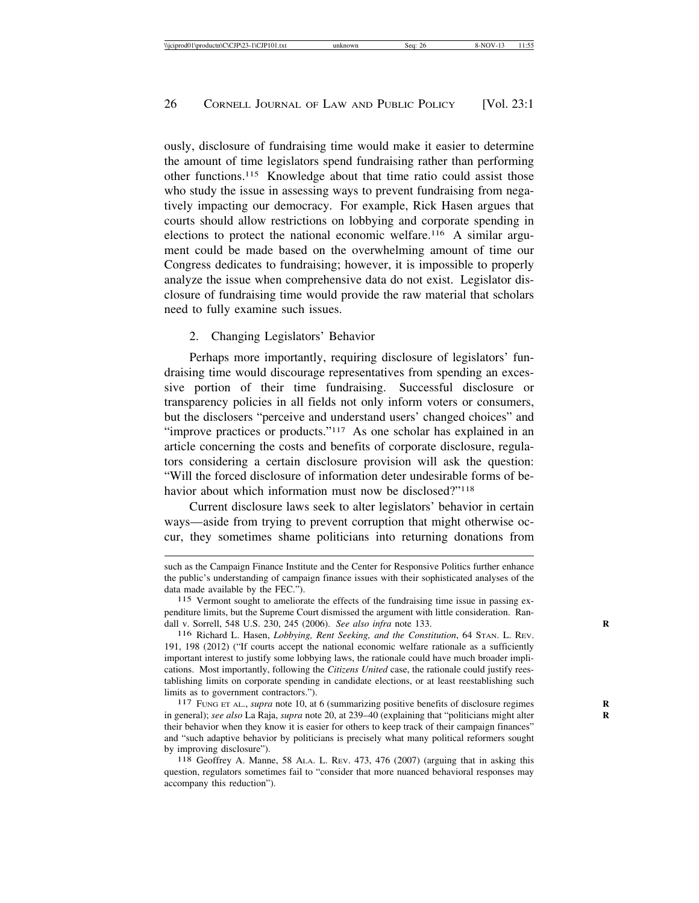ously, disclosure of fundraising time would make it easier to determine the amount of time legislators spend fundraising rather than performing other functions.115 Knowledge about that time ratio could assist those who study the issue in assessing ways to prevent fundraising from negatively impacting our democracy. For example, Rick Hasen argues that courts should allow restrictions on lobbying and corporate spending in elections to protect the national economic welfare.116 A similar argument could be made based on the overwhelming amount of time our Congress dedicates to fundraising; however, it is impossible to properly analyze the issue when comprehensive data do not exist. Legislator disclosure of fundraising time would provide the raw material that scholars need to fully examine such issues.

#### 2. Changing Legislators' Behavior

Perhaps more importantly, requiring disclosure of legislators' fundraising time would discourage representatives from spending an excessive portion of their time fundraising. Successful disclosure or transparency policies in all fields not only inform voters or consumers, but the disclosers "perceive and understand users' changed choices" and "improve practices or products."<sup>117</sup> As one scholar has explained in an article concerning the costs and benefits of corporate disclosure, regulators considering a certain disclosure provision will ask the question: "Will the forced disclosure of information deter undesirable forms of behavior about which information must now be disclosed?"<sup>118</sup>

Current disclosure laws seek to alter legislators' behavior in certain ways—aside from trying to prevent corruption that might otherwise occur, they sometimes shame politicians into returning donations from

such as the Campaign Finance Institute and the Center for Responsive Politics further enhance the public's understanding of campaign finance issues with their sophisticated analyses of the data made available by the FEC.").

<sup>115</sup> Vermont sought to ameliorate the effects of the fundraising time issue in passing expenditure limits, but the Supreme Court dismissed the argument with little consideration. Randall v. Sorrell, 548 U.S. 230, 245 (2006). *See also infra* note 133. **R**

<sup>116</sup> Richard L. Hasen, *Lobbying, Rent Seeking, and the Constitution*, 64 STAN. L. REV. 191, 198 (2012) ("If courts accept the national economic welfare rationale as a sufficiently important interest to justify some lobbying laws, the rationale could have much broader implications. Most importantly, following the *Citizens United* case, the rationale could justify reestablishing limits on corporate spending in candidate elections, or at least reestablishing such limits as to government contractors.").<br><sup>117</sup> FUNG ET AL., *supra* note 10, at 6 (summarizing positive benefits of disclosure regimes

in general); *see also* La Raja, *supra* note 20, at 239-40 (explaining that "politicians might alter their behavior when they know it is easier for others to keep track of their campaign finances" and "such adaptive behavior by politicians is precisely what many political reformers sought by improving disclosure"). <sup>118</sup> Geoffrey A. Manne, 58 ALA. L. REV. 473, 476 (2007) (arguing that in asking this

question, regulators sometimes fail to "consider that more nuanced behavioral responses may accompany this reduction").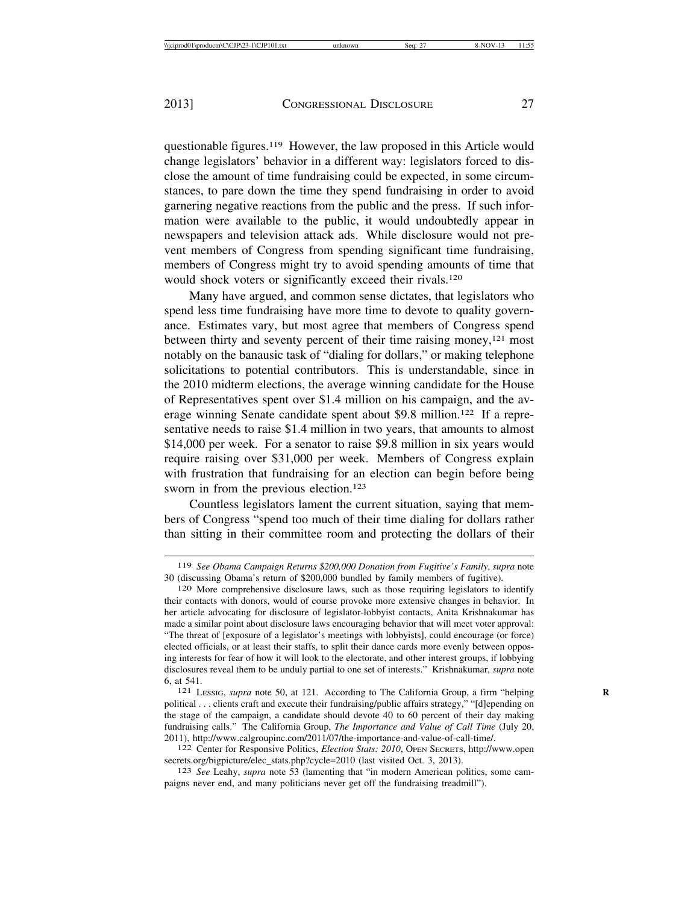questionable figures.119 However, the law proposed in this Article would change legislators' behavior in a different way: legislators forced to disclose the amount of time fundraising could be expected, in some circumstances, to pare down the time they spend fundraising in order to avoid garnering negative reactions from the public and the press. If such information were available to the public, it would undoubtedly appear in newspapers and television attack ads. While disclosure would not prevent members of Congress from spending significant time fundraising, members of Congress might try to avoid spending amounts of time that would shock voters or significantly exceed their rivals.<sup>120</sup>

Many have argued, and common sense dictates, that legislators who spend less time fundraising have more time to devote to quality governance. Estimates vary, but most agree that members of Congress spend between thirty and seventy percent of their time raising money,<sup>121</sup> most notably on the banausic task of "dialing for dollars," or making telephone solicitations to potential contributors. This is understandable, since in the 2010 midterm elections, the average winning candidate for the House of Representatives spent over \$1.4 million on his campaign, and the average winning Senate candidate spent about \$9.8 million.122 If a representative needs to raise \$1.4 million in two years, that amounts to almost \$14,000 per week. For a senator to raise \$9.8 million in six years would require raising over \$31,000 per week. Members of Congress explain with frustration that fundraising for an election can begin before being sworn in from the previous election.<sup>123</sup>

Countless legislators lament the current situation, saying that members of Congress "spend too much of their time dialing for dollars rather than sitting in their committee room and protecting the dollars of their

<sup>119</sup> *See Obama Campaign Returns \$200,000 Donation from Fugitive's Family*, *supra* note 30 (discussing Obama's return of \$200,000 bundled by family members of fugitive). <sup>120</sup> More comprehensive disclosure laws, such as those requiring legislators to identify

their contacts with donors, would of course provoke more extensive changes in behavior. In her article advocating for disclosure of legislator-lobbyist contacts, Anita Krishnakumar has made a similar point about disclosure laws encouraging behavior that will meet voter approval: "The threat of [exposure of a legislator's meetings with lobbyists], could encourage (or force) elected officials, or at least their staffs, to split their dance cards more evenly between opposing interests for fear of how it will look to the electorate, and other interest groups, if lobbying disclosures reveal them to be unduly partial to one set of interests." Krishnakumar, *supra* note 6, at 541. <sup>121</sup> LESSIG, *supra* note 50, at 121. According to The California Group, a firm "helping **<sup>R</sup>**

political . . . clients craft and execute their fundraising/public affairs strategy," "[d]epending on the stage of the campaign, a candidate should devote 40 to 60 percent of their day making fundraising calls." The California Group, *The Importance and Value of Call Time* (July 20, 2011), http://www.calgroupinc.com/2011/07/the-importance-and-value-of-call-time/. <sup>122</sup> Center for Responsive Politics, *Election Stats: 2010*, OPEN SECRETS, http://www.open

secrets.org/bigpicture/elec\_stats.php?cycle=2010 (last visited Oct. 3, 2013). <sup>123</sup> *See* Leahy, *supra* note 53 (lamenting that "in modern American politics, some cam-

paigns never end, and many politicians never get off the fundraising treadmill").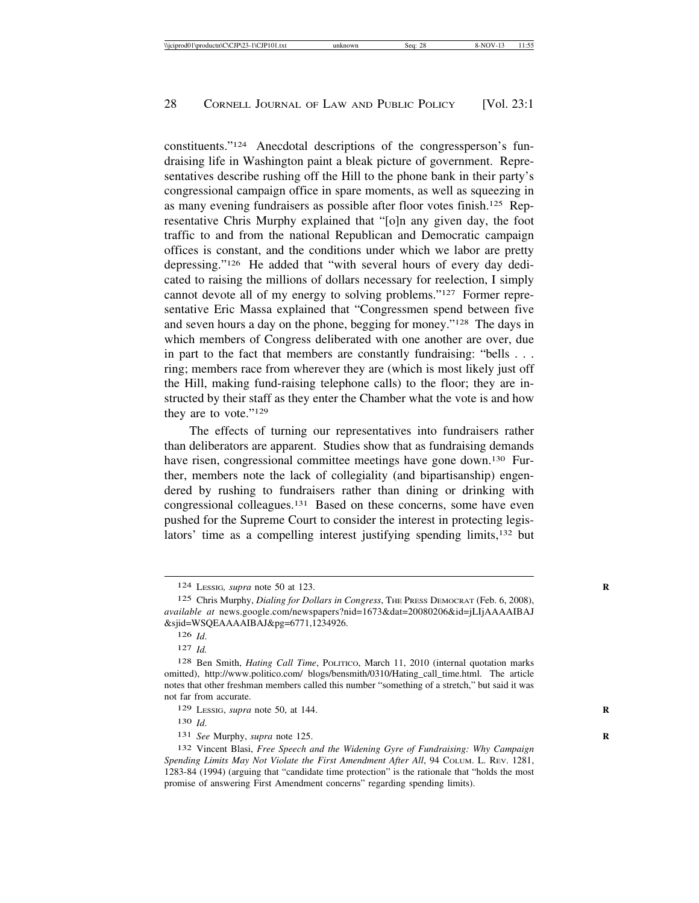constituents."124 Anecdotal descriptions of the congressperson's fundraising life in Washington paint a bleak picture of government. Representatives describe rushing off the Hill to the phone bank in their party's congressional campaign office in spare moments, as well as squeezing in as many evening fundraisers as possible after floor votes finish.125 Representative Chris Murphy explained that "[o]n any given day, the foot traffic to and from the national Republican and Democratic campaign offices is constant, and the conditions under which we labor are pretty depressing."126 He added that "with several hours of every day dedicated to raising the millions of dollars necessary for reelection, I simply cannot devote all of my energy to solving problems."127 Former representative Eric Massa explained that "Congressmen spend between five and seven hours a day on the phone, begging for money."128 The days in which members of Congress deliberated with one another are over, due in part to the fact that members are constantly fundraising: "bells . . . ring; members race from wherever they are (which is most likely just off the Hill, making fund-raising telephone calls) to the floor; they are instructed by their staff as they enter the Chamber what the vote is and how they are to vote."129

The effects of turning our representatives into fundraisers rather than deliberators are apparent. Studies show that as fundraising demands have risen, congressional committee meetings have gone down.<sup>130</sup> Further, members note the lack of collegiality (and bipartisanship) engendered by rushing to fundraisers rather than dining or drinking with congressional colleagues.131 Based on these concerns, some have even pushed for the Supreme Court to consider the interest in protecting legislators' time as a compelling interest justifying spending limits,132 but

<sup>124</sup> LESSIG*, supra* note 50 at 123. **R**

<sup>125</sup> Chris Murphy, *Dialing for Dollars in Congress*, THE PRESS DEMOCRAT (Feb. 6, 2008), *available at* news.google.com/newspapers?nid=1673&dat=20080206&id=jLIjAAAAIBAJ &sjid=WSQEAAAAIBAJ&pg=6771,1234926.

<sup>126</sup> *Id*.

<sup>127</sup> *Id.*

<sup>128</sup> Ben Smith, *Hating Call Time*, POLITICO, March 11, 2010 (internal quotation marks omitted), http://www.politico.com/ blogs/bensmith/0310/Hating\_call\_time.html. The article notes that other freshman members called this number "something of a stretch," but said it was not far from accurate.

<sup>129</sup> LESSIG, *supra* note 50, at 144. **R**

<sup>130</sup> *Id*.

<sup>131</sup> *See* Murphy, *supra* note 125. **R**

<sup>132</sup> Vincent Blasi, *Free Speech and the Widening Gyre of Fundraising: Why Campaign Spending Limits May Not Violate the First Amendment After All*, 94 COLUM. L. REV. 1281, 1283-84 (1994) (arguing that "candidate time protection" is the rationale that "holds the most promise of answering First Amendment concerns" regarding spending limits).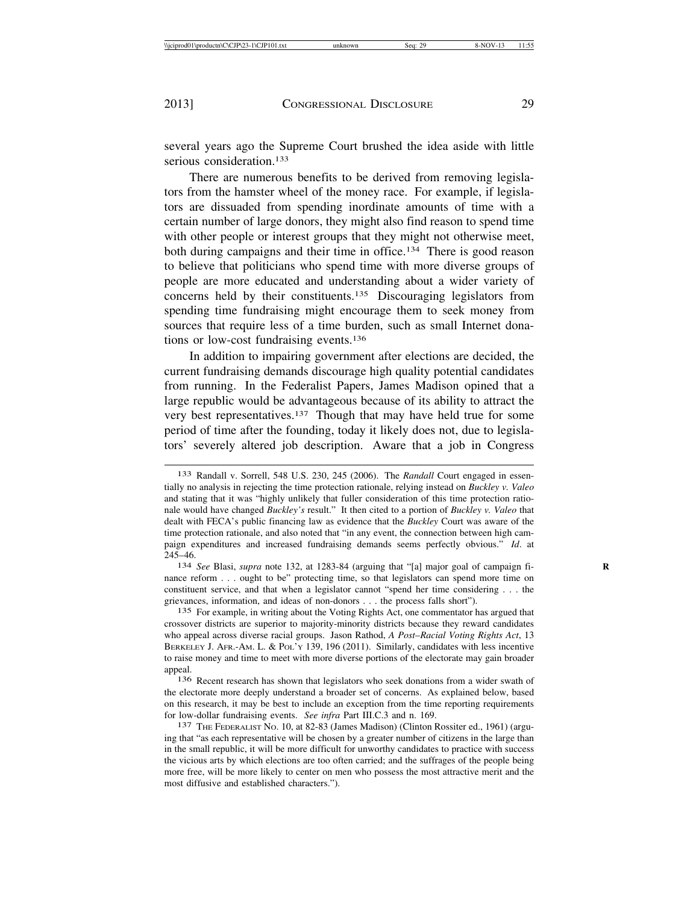several years ago the Supreme Court brushed the idea aside with little serious consideration.<sup>133</sup>

There are numerous benefits to be derived from removing legislators from the hamster wheel of the money race. For example, if legislators are dissuaded from spending inordinate amounts of time with a certain number of large donors, they might also find reason to spend time with other people or interest groups that they might not otherwise meet, both during campaigns and their time in office.<sup>134</sup> There is good reason to believe that politicians who spend time with more diverse groups of people are more educated and understanding about a wider variety of concerns held by their constituents.135 Discouraging legislators from spending time fundraising might encourage them to seek money from sources that require less of a time burden, such as small Internet donations or low-cost fundraising events.136

In addition to impairing government after elections are decided, the current fundraising demands discourage high quality potential candidates from running. In the Federalist Papers, James Madison opined that a large republic would be advantageous because of its ability to attract the very best representatives.137 Though that may have held true for some period of time after the founding, today it likely does not, due to legislators' severely altered job description. Aware that a job in Congress

<sup>133</sup> Randall v. Sorrell, 548 U.S. 230, 245 (2006). The *Randall* Court engaged in essentially no analysis in rejecting the time protection rationale, relying instead on *Buckley v. Valeo* and stating that it was "highly unlikely that fuller consideration of this time protection rationale would have changed *Buckley's* result." It then cited to a portion of *Buckley v. Valeo* that dealt with FECA's public financing law as evidence that the *Buckley* Court was aware of the time protection rationale, and also noted that "in any event, the connection between high campaign expenditures and increased fundraising demands seems perfectly obvious." *Id*. at 245–46. <sup>134</sup> *See* Blasi, *supra* note 132, at 1283-84 (arguing that "[a] major goal of campaign fi- **<sup>R</sup>**

nance reform . . . ought to be" protecting time, so that legislators can spend more time on constituent service, and that when a legislator cannot "spend her time considering . . . the grievances, information, and ideas of non-donors . . . the process falls short").

<sup>135</sup> For example, in writing about the Voting Rights Act, one commentator has argued that crossover districts are superior to majority-minority districts because they reward candidates who appeal across diverse racial groups. Jason Rathod, *A Post*–*Racial Voting Rights Act*, 13 BERKELEY J. AFR.-AM. L. & POL'Y 139, 196 (2011). Similarly, candidates with less incentive to raise money and time to meet with more diverse portions of the electorate may gain broader appeal.

<sup>136</sup> Recent research has shown that legislators who seek donations from a wider swath of the electorate more deeply understand a broader set of concerns. As explained below, based on this research, it may be best to include an exception from the time reporting requirements for low-dollar fundraising events. See infra Part III.C.3 and n. 169.

<sup>&</sup>lt;sup>137</sup> THE FEDERALIST No. 10, at 82-83 (James Madison) (Clinton Rossiter ed., 1961) (arguing that "as each representative will be chosen by a greater number of citizens in the large than in the small republic, it will be more difficult for unworthy candidates to practice with success the vicious arts by which elections are too often carried; and the suffrages of the people being more free, will be more likely to center on men who possess the most attractive merit and the most diffusive and established characters.").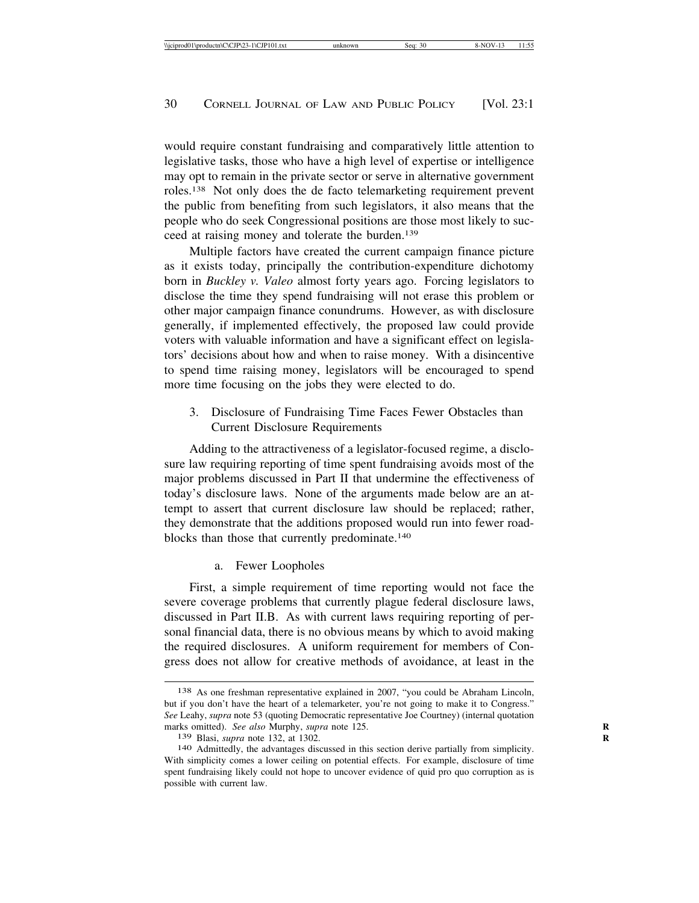would require constant fundraising and comparatively little attention to legislative tasks, those who have a high level of expertise or intelligence may opt to remain in the private sector or serve in alternative government roles.138 Not only does the de facto telemarketing requirement prevent the public from benefiting from such legislators, it also means that the people who do seek Congressional positions are those most likely to succeed at raising money and tolerate the burden.139

Multiple factors have created the current campaign finance picture as it exists today, principally the contribution-expenditure dichotomy born in *Buckley v. Valeo* almost forty years ago. Forcing legislators to disclose the time they spend fundraising will not erase this problem or other major campaign finance conundrums. However, as with disclosure generally, if implemented effectively, the proposed law could provide voters with valuable information and have a significant effect on legislators' decisions about how and when to raise money. With a disincentive to spend time raising money, legislators will be encouraged to spend more time focusing on the jobs they were elected to do.

3. Disclosure of Fundraising Time Faces Fewer Obstacles than Current Disclosure Requirements

Adding to the attractiveness of a legislator-focused regime, a disclosure law requiring reporting of time spent fundraising avoids most of the major problems discussed in Part II that undermine the effectiveness of today's disclosure laws. None of the arguments made below are an attempt to assert that current disclosure law should be replaced; rather, they demonstrate that the additions proposed would run into fewer roadblocks than those that currently predominate.140

a. Fewer Loopholes

First, a simple requirement of time reporting would not face the severe coverage problems that currently plague federal disclosure laws, discussed in Part II.B. As with current laws requiring reporting of personal financial data, there is no obvious means by which to avoid making the required disclosures. A uniform requirement for members of Congress does not allow for creative methods of avoidance, at least in the

<sup>138</sup> As one freshman representative explained in 2007, "you could be Abraham Lincoln, but if you don't have the heart of a telemarketer, you're not going to make it to Congress." *See* Leahy, *supra* note 53 (quoting Democratic representative Joe Courtney) (internal quotation marks omitted). *See also* Murphy, *supra* note 125. **R**

<sup>139</sup> Blasi, *supra* note 132, at 1302. **R**

<sup>140</sup> Admittedly, the advantages discussed in this section derive partially from simplicity. With simplicity comes a lower ceiling on potential effects. For example, disclosure of time spent fundraising likely could not hope to uncover evidence of quid pro quo corruption as is possible with current law.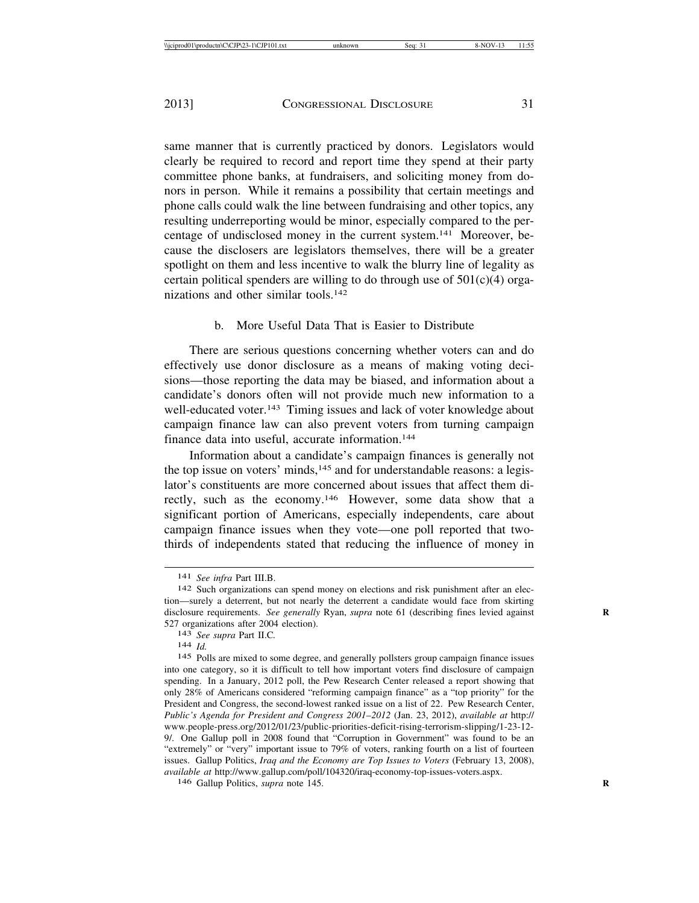same manner that is currently practiced by donors. Legislators would clearly be required to record and report time they spend at their party committee phone banks, at fundraisers, and soliciting money from donors in person. While it remains a possibility that certain meetings and phone calls could walk the line between fundraising and other topics, any resulting underreporting would be minor, especially compared to the percentage of undisclosed money in the current system.141 Moreover, because the disclosers are legislators themselves, there will be a greater spotlight on them and less incentive to walk the blurry line of legality as certain political spenders are willing to do through use of  $501(c)(4)$  organizations and other similar tools.142

#### b. More Useful Data That is Easier to Distribute

There are serious questions concerning whether voters can and do effectively use donor disclosure as a means of making voting decisions—those reporting the data may be biased, and information about a candidate's donors often will not provide much new information to a well-educated voter.<sup>143</sup> Timing issues and lack of voter knowledge about campaign finance law can also prevent voters from turning campaign finance data into useful, accurate information.144

Information about a candidate's campaign finances is generally not the top issue on voters' minds,<sup>145</sup> and for understandable reasons: a legislator's constituents are more concerned about issues that affect them directly, such as the economy.146 However, some data show that a significant portion of Americans, especially independents, care about campaign finance issues when they vote—one poll reported that twothirds of independents stated that reducing the influence of money in

146 Gallup Politics, *supra* note 145. **R**

<sup>&</sup>lt;sup>141</sup> *See infra* Part III.B.<br><sup>142</sup> Such organizations can spend money on elections and risk punishment after an election—surely a deterrent, but not nearly the deterrent a candidate would face from skirting disclosure requirements. *See generally* Ryan, *supra* note 61 (describing fines levied against 527 organizations after 2004 election). <sup>143</sup> *See supra* Part II.C*.* <sup>144</sup> *Id.*

<sup>145</sup> Polls are mixed to some degree, and generally pollsters group campaign finance issues into one category, so it is difficult to tell how important voters find disclosure of campaign spending. In a January, 2012 poll, the Pew Research Center released a report showing that only 28% of Americans considered "reforming campaign finance" as a "top priority" for the President and Congress, the second-lowest ranked issue on a list of 22. Pew Research Center, *Public's Agenda for President and Congress 2001*–*2012* (Jan. 23, 2012), *available at* http:// www.people-press.org/2012/01/23/public-priorities-deficit-rising-terrorism-slipping/1-23-12- 9/. One Gallup poll in 2008 found that "Corruption in Government" was found to be an "extremely" or "very" important issue to 79% of voters, ranking fourth on a list of fourteen issues. Gallup Politics, *Iraq and the Economy are Top Issues to Voters* (February 13, 2008), *available at* http://www.gallup.com/poll/104320/iraq-economy-top-issues-voters.aspx.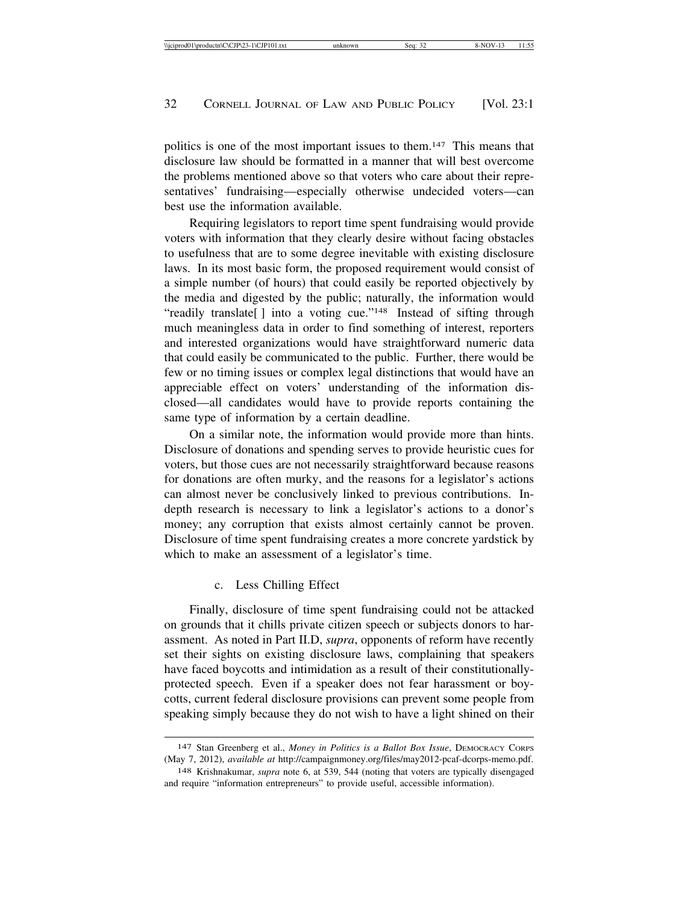politics is one of the most important issues to them.147 This means that disclosure law should be formatted in a manner that will best overcome the problems mentioned above so that voters who care about their representatives' fundraising—especially otherwise undecided voters—can best use the information available.

Requiring legislators to report time spent fundraising would provide voters with information that they clearly desire without facing obstacles to usefulness that are to some degree inevitable with existing disclosure laws. In its most basic form, the proposed requirement would consist of a simple number (of hours) that could easily be reported objectively by the media and digested by the public; naturally, the information would "readily translate[] into a voting cue."<sup>148</sup> Instead of sifting through much meaningless data in order to find something of interest, reporters and interested organizations would have straightforward numeric data that could easily be communicated to the public. Further, there would be few or no timing issues or complex legal distinctions that would have an appreciable effect on voters' understanding of the information disclosed—all candidates would have to provide reports containing the same type of information by a certain deadline.

On a similar note, the information would provide more than hints. Disclosure of donations and spending serves to provide heuristic cues for voters, but those cues are not necessarily straightforward because reasons for donations are often murky, and the reasons for a legislator's actions can almost never be conclusively linked to previous contributions. Indepth research is necessary to link a legislator's actions to a donor's money; any corruption that exists almost certainly cannot be proven. Disclosure of time spent fundraising creates a more concrete yardstick by which to make an assessment of a legislator's time.

#### c. Less Chilling Effect

Finally, disclosure of time spent fundraising could not be attacked on grounds that it chills private citizen speech or subjects donors to harassment. As noted in Part II.D, *supra*, opponents of reform have recently set their sights on existing disclosure laws, complaining that speakers have faced boycotts and intimidation as a result of their constitutionallyprotected speech. Even if a speaker does not fear harassment or boycotts, current federal disclosure provisions can prevent some people from speaking simply because they do not wish to have a light shined on their

<sup>147</sup> Stan Greenberg et al., *Money in Politics is a Ballot Box Issue*, DEMOCRACY CORPS (May 7, 2012), *available at* http://campaignmoney.org/files/may2012-pcaf-dcorps-memo.pdf.

<sup>148</sup> Krishnakumar, *supra* note 6, at 539, 544 (noting that voters are typically disengaged and require "information entrepreneurs" to provide useful, accessible information).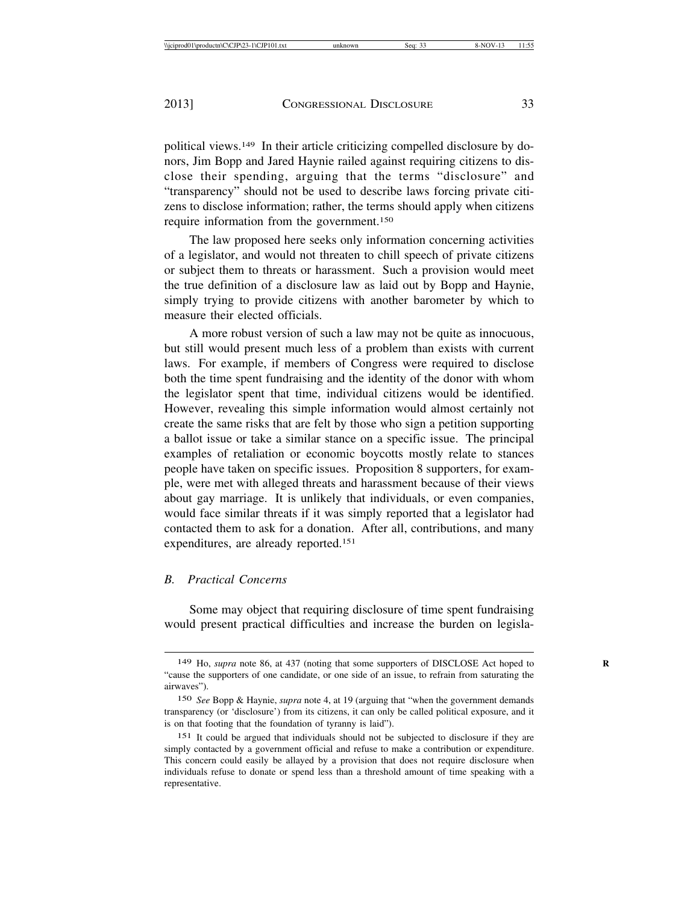political views.149 In their article criticizing compelled disclosure by donors, Jim Bopp and Jared Haynie railed against requiring citizens to disclose their spending, arguing that the terms "disclosure" and "transparency" should not be used to describe laws forcing private citizens to disclose information; rather, the terms should apply when citizens require information from the government.150

The law proposed here seeks only information concerning activities of a legislator, and would not threaten to chill speech of private citizens or subject them to threats or harassment. Such a provision would meet the true definition of a disclosure law as laid out by Bopp and Haynie, simply trying to provide citizens with another barometer by which to measure their elected officials.

A more robust version of such a law may not be quite as innocuous, but still would present much less of a problem than exists with current laws. For example, if members of Congress were required to disclose both the time spent fundraising and the identity of the donor with whom the legislator spent that time, individual citizens would be identified. However, revealing this simple information would almost certainly not create the same risks that are felt by those who sign a petition supporting a ballot issue or take a similar stance on a specific issue. The principal examples of retaliation or economic boycotts mostly relate to stances people have taken on specific issues. Proposition 8 supporters, for example, were met with alleged threats and harassment because of their views about gay marriage. It is unlikely that individuals, or even companies, would face similar threats if it was simply reported that a legislator had contacted them to ask for a donation. After all, contributions, and many expenditures, are already reported.151

#### *B. Practical Concerns*

Some may object that requiring disclosure of time spent fundraising would present practical difficulties and increase the burden on legisla-

<sup>149</sup> Ho, *supra* note 86, at 437 (noting that some supporters of DISCLOSE Act hoped to **R** "cause the supporters of one candidate, or one side of an issue, to refrain from saturating the airwaves").

<sup>150</sup> *See* Bopp & Haynie, *supra* note 4, at 19 (arguing that "when the government demands transparency (or 'disclosure') from its citizens, it can only be called political exposure, and it is on that footing that the foundation of tyranny is laid").

<sup>151</sup> It could be argued that individuals should not be subjected to disclosure if they are simply contacted by a government official and refuse to make a contribution or expenditure. This concern could easily be allayed by a provision that does not require disclosure when individuals refuse to donate or spend less than a threshold amount of time speaking with a representative.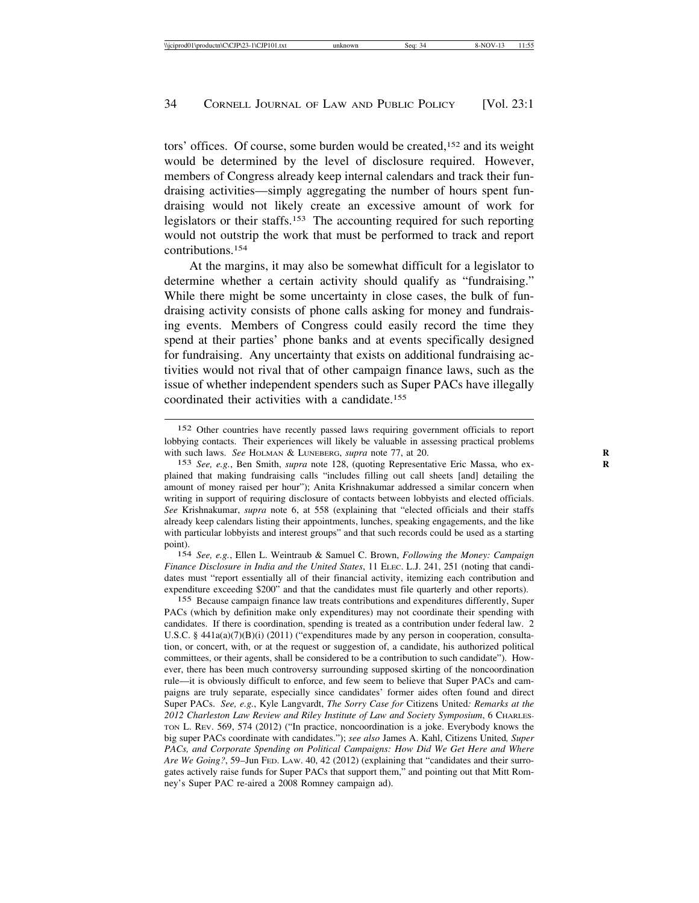tors' offices. Of course, some burden would be created,152 and its weight would be determined by the level of disclosure required. However, members of Congress already keep internal calendars and track their fundraising activities—simply aggregating the number of hours spent fundraising would not likely create an excessive amount of work for legislators or their staffs.153 The accounting required for such reporting would not outstrip the work that must be performed to track and report contributions.154

At the margins, it may also be somewhat difficult for a legislator to determine whether a certain activity should qualify as "fundraising." While there might be some uncertainty in close cases, the bulk of fundraising activity consists of phone calls asking for money and fundraising events. Members of Congress could easily record the time they spend at their parties' phone banks and at events specifically designed for fundraising. Any uncertainty that exists on additional fundraising activities would not rival that of other campaign finance laws, such as the issue of whether independent spenders such as Super PACs have illegally coordinated their activities with a candidate.155

154 *See, e.g.*, Ellen L. Weintraub & Samuel C. Brown, *Following the Money: Campaign Finance Disclosure in India and the United States*, 11 ELEC. L.J. 241, 251 (noting that candidates must "report essentially all of their financial activity, itemizing each contribution and expenditure exceeding \$200" and that the candidates must file quarterly and other reports).

155 Because campaign finance law treats contributions and expenditures differently, Super PACs (which by definition make only expenditures) may not coordinate their spending with candidates. If there is coordination, spending is treated as a contribution under federal law. 2 U.S.C. §  $441a(a)(7)(B)(i)$  (2011) ("expenditures made by any person in cooperation, consultation, or concert, with, or at the request or suggestion of, a candidate, his authorized political committees, or their agents, shall be considered to be a contribution to such candidate"). However, there has been much controversy surrounding supposed skirting of the noncoordination rule—it is obviously difficult to enforce, and few seem to believe that Super PACs and campaigns are truly separate, especially since candidates' former aides often found and direct Super PACs. *See, e.g.*, Kyle Langvardt, *The Sorry Case for* Citizens United*: Remarks at the 2012 Charleston Law Review and Riley Institute of Law and Society Symposium*, 6 CHARLES-TON L. REV. 569, 574 (2012) ("In practice, noncoordination is a joke. Everybody knows the big super PACs coordinate with candidates."); *see also* James A. Kahl, Citizens United*, Super PACs, and Corporate Spending on Political Campaigns: How Did We Get Here and Where Are We Going?*, 59–Jun FED. LAW. 40, 42 (2012) (explaining that "candidates and their surrogates actively raise funds for Super PACs that support them," and pointing out that Mitt Romney's Super PAC re-aired a 2008 Romney campaign ad).

<sup>152</sup> Other countries have recently passed laws requiring government officials to report lobbying contacts. Their experiences will likely be valuable in assessing practical problems with such laws. *See* HOLMAN & LUNEBERG, *supra* note 77, at 20. **R**

<sup>153</sup> See, e.g., Ben Smith, *supra* note 128, (quoting Representative Eric Massa, who explained that making fundraising calls "includes filling out call sheets [and] detailing the amount of money raised per hour"); Anita Krishnakumar addressed a similar concern when writing in support of requiring disclosure of contacts between lobbyists and elected officials. *See* Krishnakumar, *supra* note 6, at 558 (explaining that "elected officials and their staffs already keep calendars listing their appointments, lunches, speaking engagements, and the like with particular lobbyists and interest groups" and that such records could be used as a starting point).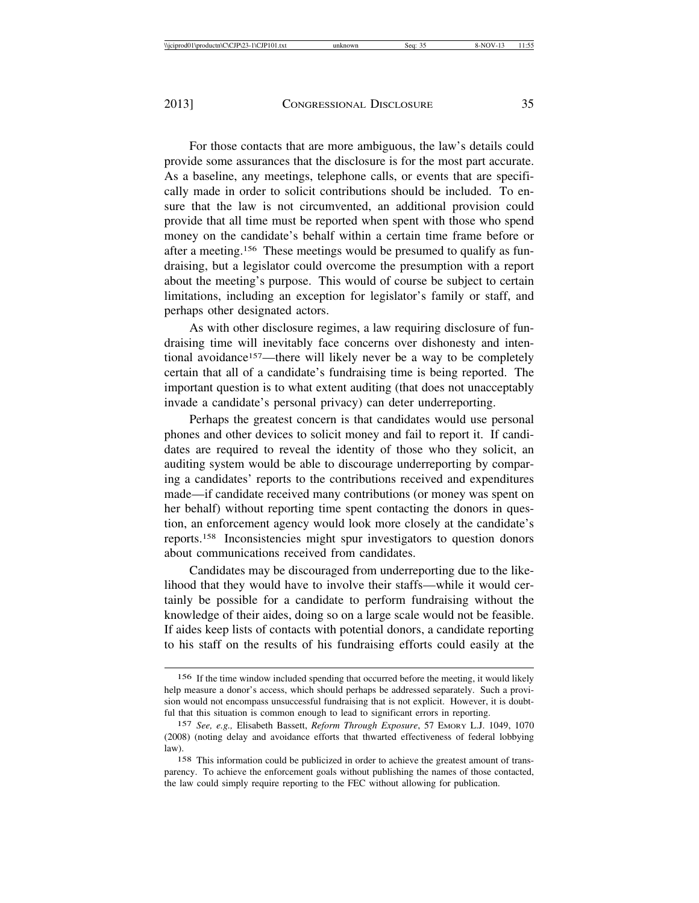For those contacts that are more ambiguous, the law's details could provide some assurances that the disclosure is for the most part accurate. As a baseline, any meetings, telephone calls, or events that are specifically made in order to solicit contributions should be included. To ensure that the law is not circumvented, an additional provision could provide that all time must be reported when spent with those who spend money on the candidate's behalf within a certain time frame before or after a meeting.156 These meetings would be presumed to qualify as fundraising, but a legislator could overcome the presumption with a report about the meeting's purpose. This would of course be subject to certain limitations, including an exception for legislator's family or staff, and perhaps other designated actors.

As with other disclosure regimes, a law requiring disclosure of fundraising time will inevitably face concerns over dishonesty and intentional avoidance<sup>157</sup>—there will likely never be a way to be completely certain that all of a candidate's fundraising time is being reported. The important question is to what extent auditing (that does not unacceptably invade a candidate's personal privacy) can deter underreporting.

Perhaps the greatest concern is that candidates would use personal phones and other devices to solicit money and fail to report it. If candidates are required to reveal the identity of those who they solicit, an auditing system would be able to discourage underreporting by comparing a candidates' reports to the contributions received and expenditures made—if candidate received many contributions (or money was spent on her behalf) without reporting time spent contacting the donors in question, an enforcement agency would look more closely at the candidate's reports.158 Inconsistencies might spur investigators to question donors about communications received from candidates.

Candidates may be discouraged from underreporting due to the likelihood that they would have to involve their staffs—while it would certainly be possible for a candidate to perform fundraising without the knowledge of their aides, doing so on a large scale would not be feasible. If aides keep lists of contacts with potential donors, a candidate reporting to his staff on the results of his fundraising efforts could easily at the

<sup>156</sup> If the time window included spending that occurred before the meeting, it would likely help measure a donor's access, which should perhaps be addressed separately. Such a provision would not encompass unsuccessful fundraising that is not explicit. However, it is doubtful that this situation is common enough to lead to significant errors in reporting.

<sup>157</sup> *See, e.g.,* Elisabeth Bassett, *Reform Through Exposure*, 57 EMORY L.J. 1049, 1070 (2008) (noting delay and avoidance efforts that thwarted effectiveness of federal lobbying law).

<sup>158</sup> This information could be publicized in order to achieve the greatest amount of transparency. To achieve the enforcement goals without publishing the names of those contacted, the law could simply require reporting to the FEC without allowing for publication.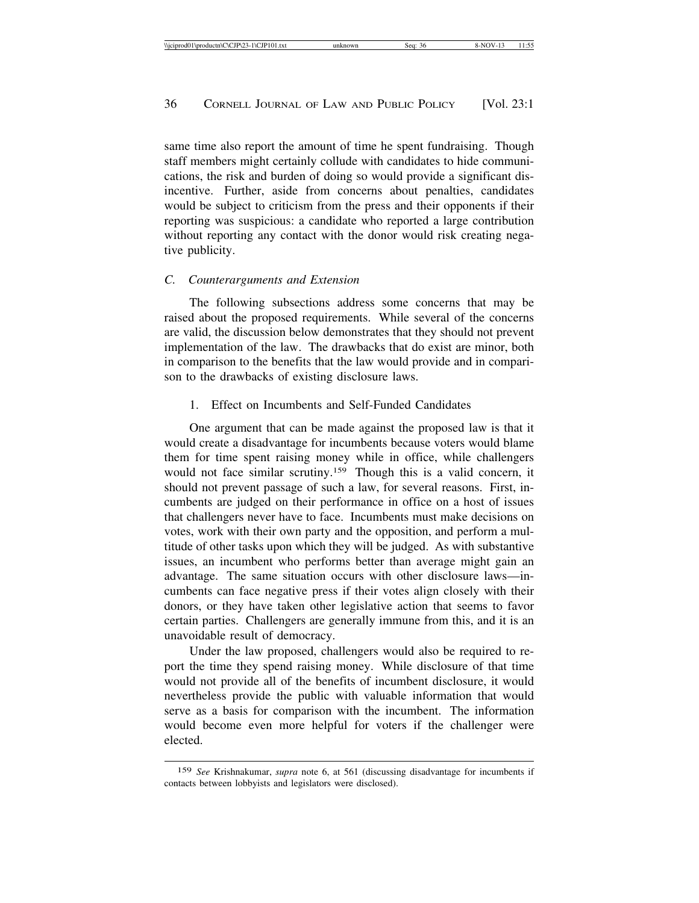same time also report the amount of time he spent fundraising. Though staff members might certainly collude with candidates to hide communications, the risk and burden of doing so would provide a significant disincentive. Further, aside from concerns about penalties, candidates would be subject to criticism from the press and their opponents if their reporting was suspicious: a candidate who reported a large contribution without reporting any contact with the donor would risk creating negative publicity.

#### *C. Counterarguments and Extension*

The following subsections address some concerns that may be raised about the proposed requirements. While several of the concerns are valid, the discussion below demonstrates that they should not prevent implementation of the law. The drawbacks that do exist are minor, both in comparison to the benefits that the law would provide and in comparison to the drawbacks of existing disclosure laws.

#### 1. Effect on Incumbents and Self-Funded Candidates

One argument that can be made against the proposed law is that it would create a disadvantage for incumbents because voters would blame them for time spent raising money while in office, while challengers would not face similar scrutiny.159 Though this is a valid concern, it should not prevent passage of such a law, for several reasons. First, incumbents are judged on their performance in office on a host of issues that challengers never have to face. Incumbents must make decisions on votes, work with their own party and the opposition, and perform a multitude of other tasks upon which they will be judged. As with substantive issues, an incumbent who performs better than average might gain an advantage. The same situation occurs with other disclosure laws—incumbents can face negative press if their votes align closely with their donors, or they have taken other legislative action that seems to favor certain parties. Challengers are generally immune from this, and it is an unavoidable result of democracy.

Under the law proposed, challengers would also be required to report the time they spend raising money. While disclosure of that time would not provide all of the benefits of incumbent disclosure, it would nevertheless provide the public with valuable information that would serve as a basis for comparison with the incumbent. The information would become even more helpful for voters if the challenger were elected.

<sup>159</sup> *See* Krishnakumar, *supra* note 6, at 561 (discussing disadvantage for incumbents if contacts between lobbyists and legislators were disclosed).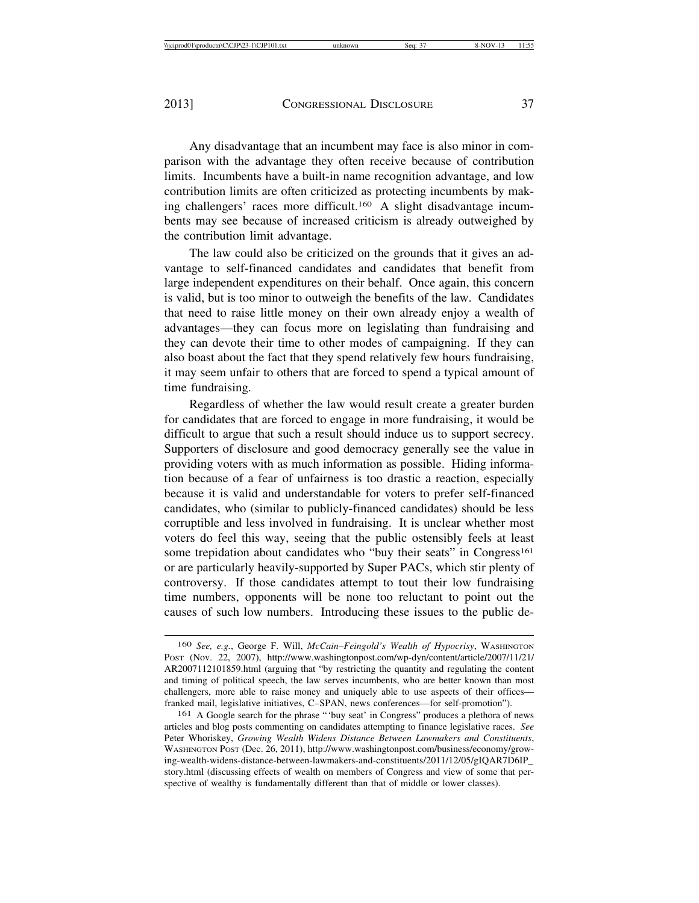Any disadvantage that an incumbent may face is also minor in comparison with the advantage they often receive because of contribution limits. Incumbents have a built-in name recognition advantage, and low contribution limits are often criticized as protecting incumbents by making challengers' races more difficult.160 A slight disadvantage incumbents may see because of increased criticism is already outweighed by the contribution limit advantage.

The law could also be criticized on the grounds that it gives an advantage to self-financed candidates and candidates that benefit from large independent expenditures on their behalf. Once again, this concern is valid, but is too minor to outweigh the benefits of the law. Candidates that need to raise little money on their own already enjoy a wealth of advantages—they can focus more on legislating than fundraising and they can devote their time to other modes of campaigning. If they can also boast about the fact that they spend relatively few hours fundraising, it may seem unfair to others that are forced to spend a typical amount of time fundraising.

Regardless of whether the law would result create a greater burden for candidates that are forced to engage in more fundraising, it would be difficult to argue that such a result should induce us to support secrecy. Supporters of disclosure and good democracy generally see the value in providing voters with as much information as possible. Hiding information because of a fear of unfairness is too drastic a reaction, especially because it is valid and understandable for voters to prefer self-financed candidates, who (similar to publicly-financed candidates) should be less corruptible and less involved in fundraising. It is unclear whether most voters do feel this way, seeing that the public ostensibly feels at least some trepidation about candidates who "buy their seats" in Congress<sup>161</sup> or are particularly heavily-supported by Super PACs, which stir plenty of controversy. If those candidates attempt to tout their low fundraising time numbers, opponents will be none too reluctant to point out the causes of such low numbers. Introducing these issues to the public de-

<sup>160</sup> *See, e.g.*, George F. Will, *McCain*–*Feingold's Wealth of Hypocrisy*, WASHINGTON POST (Nov. 22, 2007), http://www.washingtonpost.com/wp-dyn/content/article/2007/11/21/ AR2007112101859.html (arguing that "by restricting the quantity and regulating the content and timing of political speech, the law serves incumbents, who are better known than most challengers, more able to raise money and uniquely able to use aspects of their offices franked mail, legislative initiatives, C–SPAN, news conferences—for self-promotion").

<sup>161</sup> A Google search for the phrase "'buy seat' in Congress" produces a plethora of news articles and blog posts commenting on candidates attempting to finance legislative races. *See* Peter Whoriskey, *Growing Wealth Widens Distance Between Lawmakers and Constituents*, WASHINGTON POST (Dec. 26, 2011), http://www.washingtonpost.com/business/economy/growing-wealth-widens-distance-between-lawmakers-and-constituents/2011/12/05/gIQAR7D6IP\_ story.html (discussing effects of wealth on members of Congress and view of some that perspective of wealthy is fundamentally different than that of middle or lower classes).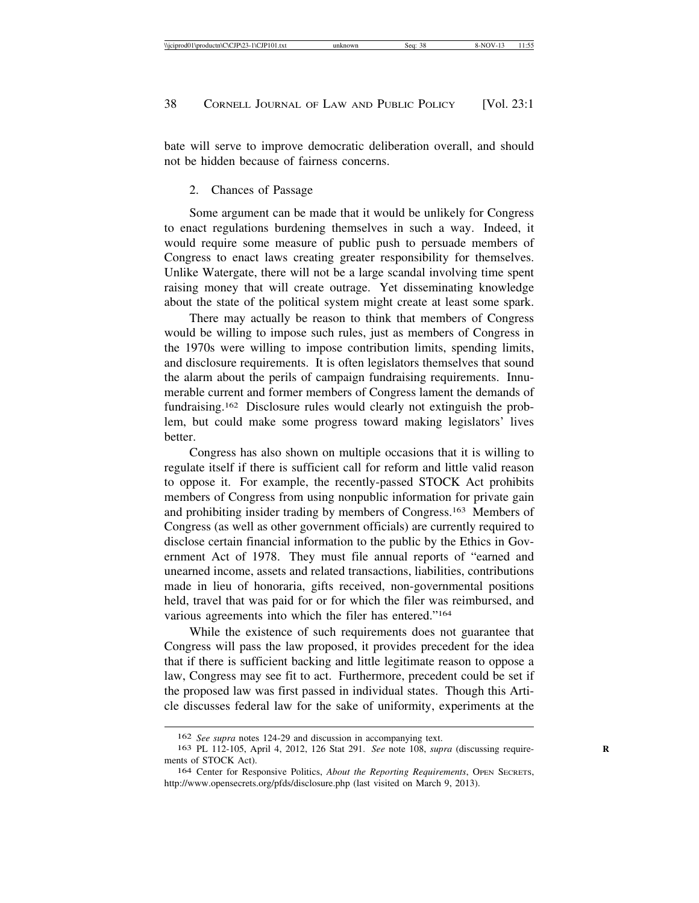bate will serve to improve democratic deliberation overall, and should not be hidden because of fairness concerns.

#### 2. Chances of Passage

Some argument can be made that it would be unlikely for Congress to enact regulations burdening themselves in such a way. Indeed, it would require some measure of public push to persuade members of Congress to enact laws creating greater responsibility for themselves. Unlike Watergate, there will not be a large scandal involving time spent raising money that will create outrage. Yet disseminating knowledge about the state of the political system might create at least some spark.

There may actually be reason to think that members of Congress would be willing to impose such rules, just as members of Congress in the 1970s were willing to impose contribution limits, spending limits, and disclosure requirements. It is often legislators themselves that sound the alarm about the perils of campaign fundraising requirements. Innumerable current and former members of Congress lament the demands of fundraising.162 Disclosure rules would clearly not extinguish the problem, but could make some progress toward making legislators' lives **better** 

Congress has also shown on multiple occasions that it is willing to regulate itself if there is sufficient call for reform and little valid reason to oppose it. For example, the recently-passed STOCK Act prohibits members of Congress from using nonpublic information for private gain and prohibiting insider trading by members of Congress.163 Members of Congress (as well as other government officials) are currently required to disclose certain financial information to the public by the Ethics in Government Act of 1978. They must file annual reports of "earned and unearned income, assets and related transactions, liabilities, contributions made in lieu of honoraria, gifts received, non-governmental positions held, travel that was paid for or for which the filer was reimbursed, and various agreements into which the filer has entered."164

While the existence of such requirements does not guarantee that Congress will pass the law proposed, it provides precedent for the idea that if there is sufficient backing and little legitimate reason to oppose a law, Congress may see fit to act. Furthermore, precedent could be set if the proposed law was first passed in individual states. Though this Article discusses federal law for the sake of uniformity, experiments at the

<sup>162</sup> *See supra* notes 124-29 and discussion in accompanying text.

<sup>163</sup> PL 112-105, April 4, 2012, 126 Stat 291. *See* note 108, *supra* (discussing requirements of STOCK Act).

<sup>164</sup> Center for Responsive Politics, *About the Reporting Requirements*, OPEN SECRETS, http://www.opensecrets.org/pfds/disclosure.php (last visited on March 9, 2013).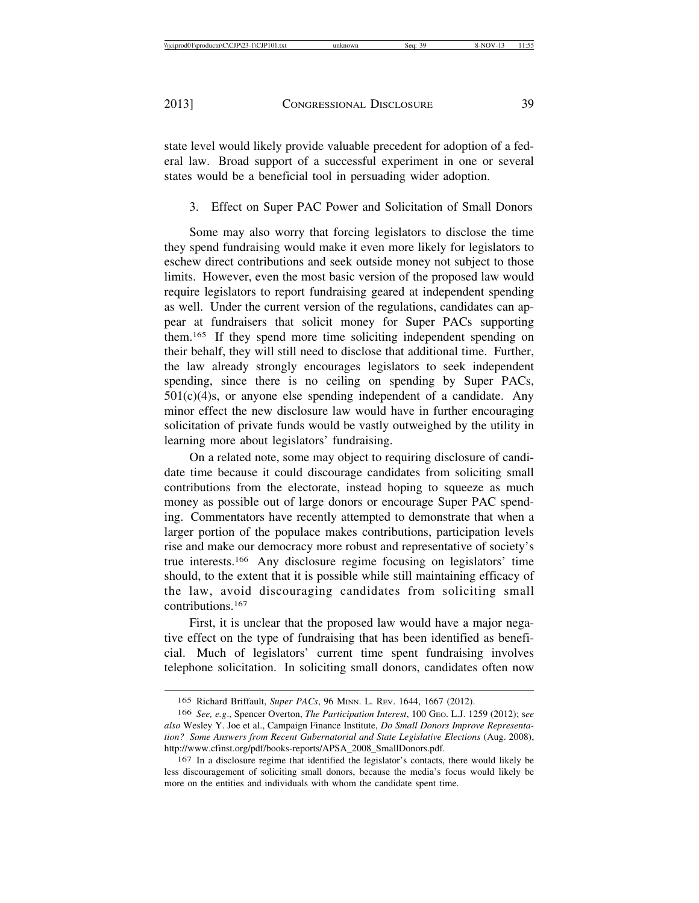state level would likely provide valuable precedent for adoption of a federal law. Broad support of a successful experiment in one or several states would be a beneficial tool in persuading wider adoption.

3. Effect on Super PAC Power and Solicitation of Small Donors

Some may also worry that forcing legislators to disclose the time they spend fundraising would make it even more likely for legislators to eschew direct contributions and seek outside money not subject to those limits. However, even the most basic version of the proposed law would require legislators to report fundraising geared at independent spending as well. Under the current version of the regulations, candidates can appear at fundraisers that solicit money for Super PACs supporting them.165 If they spend more time soliciting independent spending on their behalf, they will still need to disclose that additional time. Further, the law already strongly encourages legislators to seek independent spending, since there is no ceiling on spending by Super PACs,  $501(c)(4)$ s, or anyone else spending independent of a candidate. Any minor effect the new disclosure law would have in further encouraging solicitation of private funds would be vastly outweighed by the utility in learning more about legislators' fundraising.

On a related note, some may object to requiring disclosure of candidate time because it could discourage candidates from soliciting small contributions from the electorate, instead hoping to squeeze as much money as possible out of large donors or encourage Super PAC spending. Commentators have recently attempted to demonstrate that when a larger portion of the populace makes contributions, participation levels rise and make our democracy more robust and representative of society's true interests.166 Any disclosure regime focusing on legislators' time should, to the extent that it is possible while still maintaining efficacy of the law, avoid discouraging candidates from soliciting small contributions.167

First, it is unclear that the proposed law would have a major negative effect on the type of fundraising that has been identified as beneficial. Much of legislators' current time spent fundraising involves telephone solicitation. In soliciting small donors, candidates often now

<sup>165</sup> Richard Briffault, *Super PACs*, 96 MINN. L. REV. 1644, 1667 (2012).

<sup>166</sup> *See, e.g*., Spencer Overton, *The Participation Interest*, 100 GEO. L.J. 1259 (2012); s*ee also* Wesley Y. Joe et al., Campaign Finance Institute, *Do Small Donors Improve Representation? Some Answers from Recent Gubernatorial and State Legislative Elections* (Aug. 2008), http://www.cfinst.org/pdf/books-reports/APSA\_2008\_SmallDonors.pdf.

<sup>167</sup> In a disclosure regime that identified the legislator's contacts, there would likely be less discouragement of soliciting small donors, because the media's focus would likely be more on the entities and individuals with whom the candidate spent time.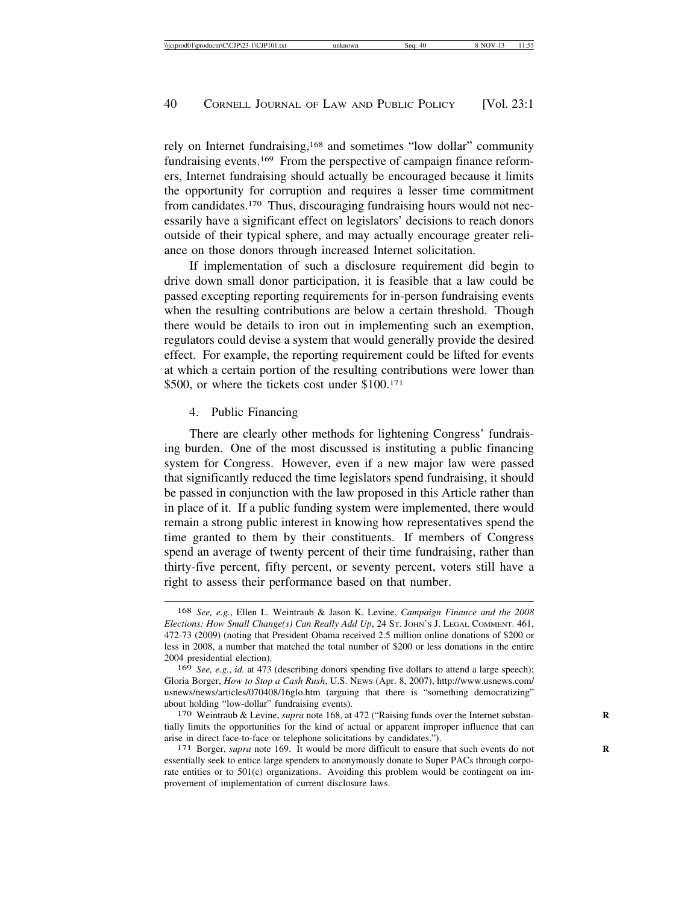rely on Internet fundraising,168 and sometimes "low dollar" community fundraising events.169 From the perspective of campaign finance reformers, Internet fundraising should actually be encouraged because it limits the opportunity for corruption and requires a lesser time commitment from candidates.170 Thus, discouraging fundraising hours would not necessarily have a significant effect on legislators' decisions to reach donors outside of their typical sphere, and may actually encourage greater reliance on those donors through increased Internet solicitation.

If implementation of such a disclosure requirement did begin to drive down small donor participation, it is feasible that a law could be passed excepting reporting requirements for in-person fundraising events when the resulting contributions are below a certain threshold. Though there would be details to iron out in implementing such an exemption, regulators could devise a system that would generally provide the desired effect. For example, the reporting requirement could be lifted for events at which a certain portion of the resulting contributions were lower than \$500, or where the tickets cost under \$100.171

#### 4. Public Financing

There are clearly other methods for lightening Congress' fundraising burden. One of the most discussed is instituting a public financing system for Congress. However, even if a new major law were passed that significantly reduced the time legislators spend fundraising, it should be passed in conjunction with the law proposed in this Article rather than in place of it. If a public funding system were implemented, there would remain a strong public interest in knowing how representatives spend the time granted to them by their constituents. If members of Congress spend an average of twenty percent of their time fundraising, rather than thirty-five percent, fifty percent, or seventy percent, voters still have a right to assess their performance based on that number.

<sup>168</sup> *See, e.g.*, Ellen L. Weintraub & Jason K. Levine, *Campaign Finance and the 2008 Elections: How Small Change(s) Can Really Add Up*, 24 ST. JOHN'S J. LEGAL COMMENT. 461, 472-73 (2009) (noting that President Obama received 2.5 million online donations of \$200 or less in 2008, a number that matched the total number of \$200 or less donations in the entire 2004 presidential election).

<sup>169</sup> *See, e.g.*, *id.* at 473 (describing donors spending five dollars to attend a large speech); Gloria Borger, *How to Stop a Cash Rush*, U.S. NEWS (Apr. 8, 2007), http://www.usnews.com/ usnews/news/articles/070408/16glo.htm (arguing that there is "something democratizing" about holding "low-dollar" fundraising events).<br><sup>170</sup> Weintraub & Levine, *supra* note 168, at 472 ("Raising funds over the Internet substan-

tially limits the opportunities for the kind of actual or apparent improper influence that can arise in direct face-to-face or telephone solicitations by candidates.").<br><sup>171</sup> Borger, *supra* note 169. It would be more difficult to ensure that such events do not

essentially seek to entice large spenders to anonymously donate to Super PACs through corporate entities or to 501(c) organizations. Avoiding this problem would be contingent on improvement of implementation of current disclosure laws.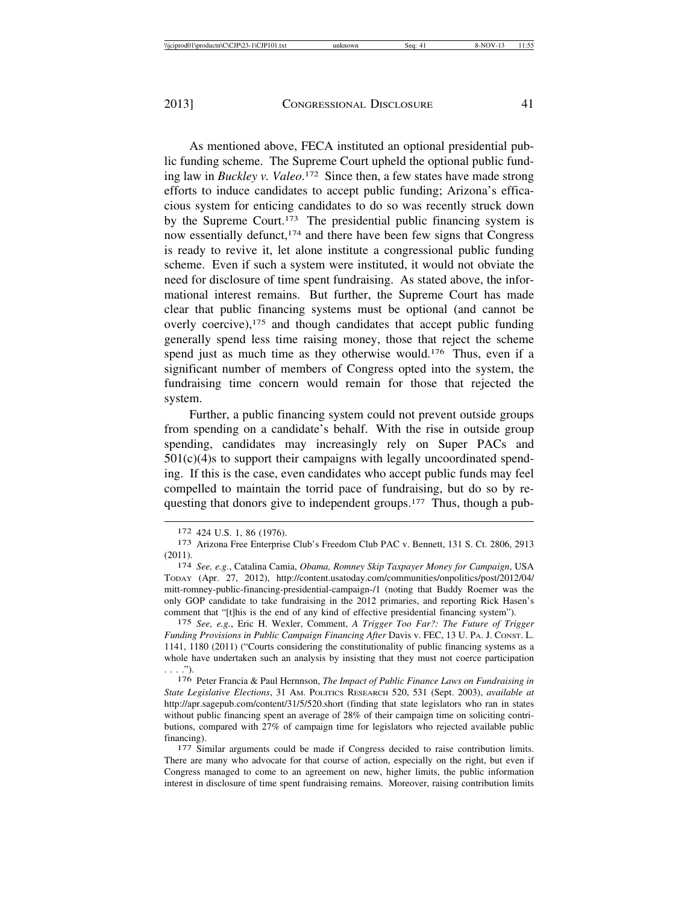As mentioned above, FECA instituted an optional presidential public funding scheme. The Supreme Court upheld the optional public funding law in *Buckley v. Valeo*. 172 Since then, a few states have made strong efforts to induce candidates to accept public funding; Arizona's efficacious system for enticing candidates to do so was recently struck down by the Supreme Court.173 The presidential public financing system is now essentially defunct,174 and there have been few signs that Congress is ready to revive it, let alone institute a congressional public funding scheme. Even if such a system were instituted, it would not obviate the need for disclosure of time spent fundraising. As stated above, the informational interest remains. But further, the Supreme Court has made clear that public financing systems must be optional (and cannot be overly coercive),175 and though candidates that accept public funding generally spend less time raising money, those that reject the scheme spend just as much time as they otherwise would.176 Thus, even if a significant number of members of Congress opted into the system, the fundraising time concern would remain for those that rejected the system.

Further, a public financing system could not prevent outside groups from spending on a candidate's behalf. With the rise in outside group spending, candidates may increasingly rely on Super PACs and  $501(c)(4)$ s to support their campaigns with legally uncoordinated spending. If this is the case, even candidates who accept public funds may feel compelled to maintain the torrid pace of fundraising, but do so by requesting that donors give to independent groups.177 Thus, though a pub-

175 *See, e.g.*, Eric H. Wexler, Comment, *A Trigger Too Far?: The Future of Trigger Funding Provisions in Public Campaign Financing After* Davis v. FEC, 13 U. PA. J. CONST. L. 1141, 1180 (2011) ("Courts considering the constitutionality of public financing systems as a whole have undertaken such an analysis by insisting that they must not coerce participation . . . .").

176 Peter Francia & Paul Hernnson, *The Impact of Public Finance Laws on Fundraising in State Legislative Elections*, 31 AM. POLITICS RESEARCH 520, 531 (Sept. 2003), *available at* http://apr.sagepub.com/content/31/5/520.short (finding that state legislators who ran in states without public financing spent an average of 28% of their campaign time on soliciting contributions, compared with 27% of campaign time for legislators who rejected available public financing). <sup>177</sup> Similar arguments could be made if Congress decided to raise contribution limits.

There are many who advocate for that course of action, especially on the right, but even if Congress managed to come to an agreement on new, higher limits, the public information interest in disclosure of time spent fundraising remains. Moreover, raising contribution limits

<sup>172 424</sup> U.S. 1, 86 (1976).<br><sup>173</sup> Arizona Free Enterprise Club's Freedom Club PAC v. Bennett, 131 S. Ct. 2806, 2913 (2011). <sup>174</sup> *See, e.g.*, Catalina Camia, *Obama, Romney Skip Taxpayer Money for Campaign*, USA

TODAY (Apr. 27, 2012), http://content.usatoday.com/communities/onpolitics/post/2012/04/ mitt-romney-public-financing-presidential-campaign-/1 (noting that Buddy Roemer was the only GOP candidate to take fundraising in the 2012 primaries, and reporting Rick Hasen's comment that "[t]his is the end of any kind of effective presidential financing system").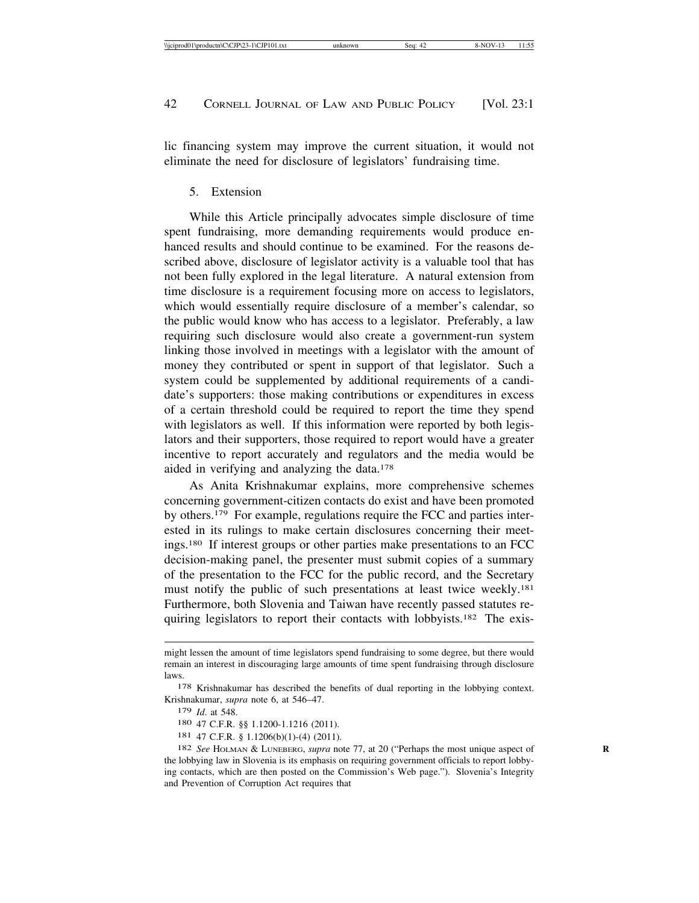lic financing system may improve the current situation, it would not eliminate the need for disclosure of legislators' fundraising time.

#### 5. Extension

While this Article principally advocates simple disclosure of time spent fundraising, more demanding requirements would produce enhanced results and should continue to be examined. For the reasons described above, disclosure of legislator activity is a valuable tool that has not been fully explored in the legal literature. A natural extension from time disclosure is a requirement focusing more on access to legislators, which would essentially require disclosure of a member's calendar, so the public would know who has access to a legislator. Preferably, a law requiring such disclosure would also create a government-run system linking those involved in meetings with a legislator with the amount of money they contributed or spent in support of that legislator. Such a system could be supplemented by additional requirements of a candidate's supporters: those making contributions or expenditures in excess of a certain threshold could be required to report the time they spend with legislators as well. If this information were reported by both legislators and their supporters, those required to report would have a greater incentive to report accurately and regulators and the media would be aided in verifying and analyzing the data.178

As Anita Krishnakumar explains, more comprehensive schemes concerning government-citizen contacts do exist and have been promoted by others.179 For example, regulations require the FCC and parties interested in its rulings to make certain disclosures concerning their meetings.180 If interest groups or other parties make presentations to an FCC decision-making panel, the presenter must submit copies of a summary of the presentation to the FCC for the public record, and the Secretary must notify the public of such presentations at least twice weekly.<sup>181</sup> Furthermore, both Slovenia and Taiwan have recently passed statutes requiring legislators to report their contacts with lobbyists.<sup>182</sup> The exis-

might lessen the amount of time legislators spend fundraising to some degree, but there would remain an interest in discouraging large amounts of time spent fundraising through disclosure laws.

<sup>178</sup> Krishnakumar has described the benefits of dual reporting in the lobbying context. Krishnakumar, *supra* note 6, at 546–47.

<sup>179</sup> *Id*. at 548.

<sup>180</sup> 47 C.F.R. §§ 1.1200-1.1216 (2011).

<sup>181</sup> 47 C.F.R. § 1.1206(b)(1)-(4) (2011).

<sup>182</sup> *See* HOLMAN & LUNEBERG, *supra* note 77, at 20 ("Perhaps the most unique aspect of **R** the lobbying law in Slovenia is its emphasis on requiring government officials to report lobbying contacts, which are then posted on the Commission's Web page."). Slovenia's Integrity and Prevention of Corruption Act requires that